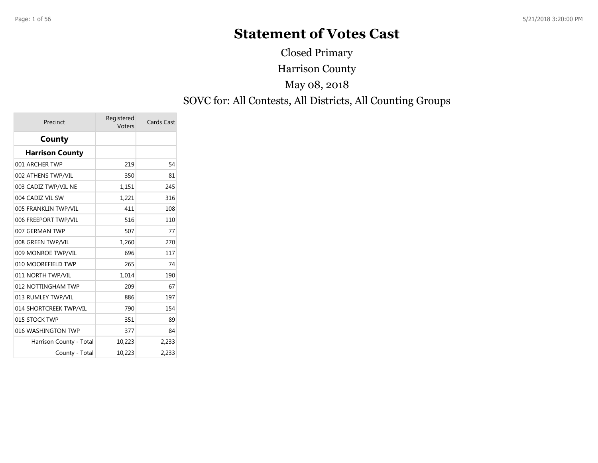# **Statement of Votes Cast**

Harrison County SOVC for: All Contests, All Districts, All Counting Groups May 08, 2018 Closed Primary

| Precinct                | Registered<br>Voters | Cards Cast |
|-------------------------|----------------------|------------|
| County                  |                      |            |
| <b>Harrison County</b>  |                      |            |
| 001 ARCHER TWP          | 219                  | 54         |
| 002 ATHENS TWP/VIL      | 350                  | 81         |
| 003 CADIZ TWP/VIL NE    | 1,151                | 245        |
| 004 CADIZ VIL SW        | 1,221                | 316        |
| 005 FRANKLIN TWP/VIL    | 411                  | 108        |
| 006 FREEPORT TWP/VIL    | 516                  | 110        |
| 007 GERMAN TWP          | 507                  | 77         |
| 008 GREEN TWP/VIL       | 1,260                | 270        |
| 009 MONROE TWP/VIL      | 696                  | 117        |
| 010 MOOREFIELD TWP      | 265                  | 74         |
| 011 NORTH TWP/VIL       | 1,014                | 190        |
| 012 NOTTINGHAM TWP      | 209                  | 67         |
| 013 RUMLEY TWP/VIL      | 886                  | 197        |
| 014 SHORTCREEK TWP/VIL  | 790                  | 154        |
| 015 STOCK TWP           | 351                  | 89         |
| 016 WASHINGTON TWP      | 377                  | 84         |
| Harrison County - Total | 10,223               | 2,233      |
| County - Total          | 10.223               | 2,233      |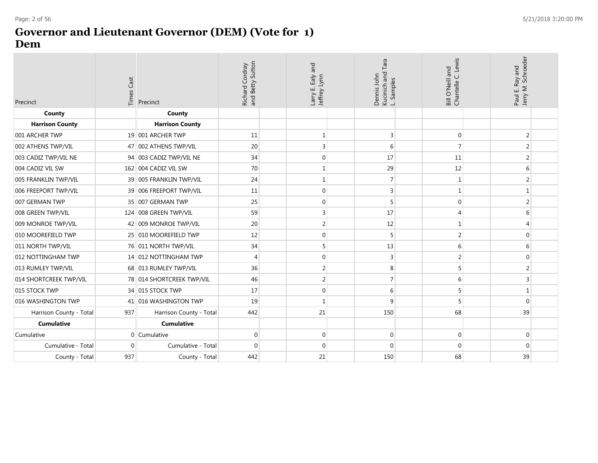#### **Governor and Lieutenant Governor (DEM) (Vote for 1) Dem**

| Precinct                | Times Cast | Precinct                  | Richard Cordray<br>and Betty Sutton | and<br>Ealy<br>Larry E. Ealy<br>Jeffrey Lynn | ara<br>Kucinich and<br>Dennis John<br>Samples<br>ند | Bill O'Neill and<br>Chantelle C. Lewis | Paul E. Ray and<br>Jerry M. Schroeder |  |
|-------------------------|------------|---------------------------|-------------------------------------|----------------------------------------------|-----------------------------------------------------|----------------------------------------|---------------------------------------|--|
| County                  |            | County                    |                                     |                                              |                                                     |                                        |                                       |  |
| <b>Harrison County</b>  |            | <b>Harrison County</b>    |                                     |                                              |                                                     |                                        |                                       |  |
| 001 ARCHER TWP          |            | 19 001 ARCHER TWP         | 11                                  | $\mathbf{1}$                                 | 3                                                   | $\mathbf 0$                            | 2                                     |  |
| 002 ATHENS TWP/VIL      |            | 47 002 ATHENS TWP/VIL     | 20                                  | 3                                            | 6                                                   | $\overline{7}$                         | 2                                     |  |
| 003 CADIZ TWP/VIL NE    |            | 94 003 CADIZ TWP/VIL NE   | 34                                  | $\boldsymbol{0}$                             | 17                                                  | 11                                     | $\overline{2}$                        |  |
| 004 CADIZ VIL SW        |            | 162 004 CADIZ VIL SW      | 70                                  | 1                                            | 29                                                  | 12                                     | 6                                     |  |
| 005 FRANKLIN TWP/VIL    |            | 39 005 FRANKLIN TWP/VIL   | 24                                  | $\mathbf 1$                                  |                                                     | 1                                      | $\overline{2}$                        |  |
| 006 FREEPORT TWP/VIL    |            | 39 006 FREEPORT TWP/VIL   | 11                                  | $\boldsymbol{0}$                             | 3                                                   | 1                                      | 1                                     |  |
| 007 GERMAN TWP          |            | 35 007 GERMAN TWP         | 25                                  | 0                                            | 5                                                   | $\mathbf 0$                            | $\overline{2}$                        |  |
| 008 GREEN TWP/VIL       |            | 124 008 GREEN TWP/VIL     | 59                                  | 3                                            | 17                                                  | $\overline{4}$                         | 6                                     |  |
| 009 MONROE TWP/VIL      |            | 42 009 MONROE TWP/VIL     | 20                                  | $\overline{2}$                               | 12                                                  | 1                                      | 4                                     |  |
| 010 MOOREFIELD TWP      |            | 25 010 MOOREFIELD TWP     | 12                                  | $\boldsymbol{0}$                             |                                                     | $\overline{2}$                         | $\mathbf{0}$                          |  |
| 011 NORTH TWP/VIL       |            | 76 011 NORTH TWP/VIL      | 34                                  | 5                                            | 13                                                  | 6                                      | 6                                     |  |
| 012 NOTTINGHAM TWP      |            | 14 012 NOTTINGHAM TWP     | $\overline{4}$                      | 0                                            | 3                                                   | 2                                      | $\mathbf{0}$                          |  |
| 013 RUMLEY TWP/VIL      |            | 68 013 RUMLEY TWP/VIL     | 36                                  | $\overline{2}$                               | 8                                                   | 5                                      | 2                                     |  |
| 014 SHORTCREEK TWP/VIL  |            | 78 014 SHORTCREEK TWP/VIL | 46                                  | $\overline{2}$                               |                                                     | 6                                      | 3                                     |  |
| 015 STOCK TWP           |            | 34 015 STOCK TWP          | 17                                  | 0                                            | 6                                                   | 5                                      | 1                                     |  |
| 016 WASHINGTON TWP      |            | 41 016 WASHINGTON TWP     | 19                                  | $\mathbf 1$                                  | 9                                                   | 5                                      | $\mathbf{0}$                          |  |
| Harrison County - Total | 937        | Harrison County - Total   | 442                                 | 21                                           | 150                                                 | 68                                     | 39                                    |  |
| <b>Cumulative</b>       |            | <b>Cumulative</b>         |                                     |                                              |                                                     |                                        |                                       |  |
| Cumulative              |            | 0 Cumulative              | $\mathbf{0}$                        | 0                                            | $\Omega$                                            | $\mathbf 0$                            | $\mathbf 0$                           |  |
| Cumulative - Total      | $\Omega$   | Cumulative - Total        | $\Omega$                            | 0                                            | $\Omega$                                            | $\mathbf{0}$                           | $\mathbf 0$                           |  |
| County - Total          | 937        | County - Total            | 442                                 | 21                                           | 150                                                 | 68                                     | 39                                    |  |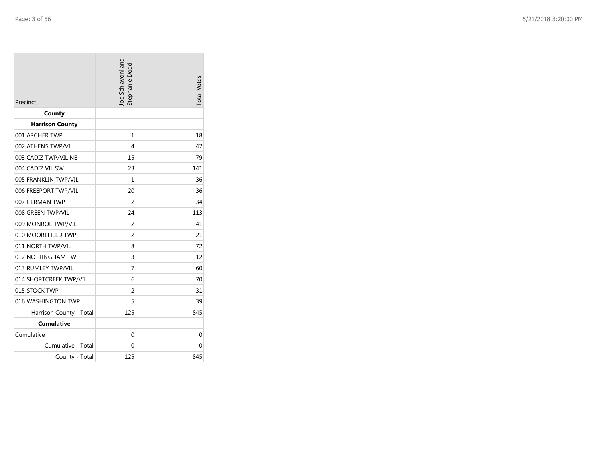| Precinct                | Joe Schiavoni and<br>Stephanie Dodd | <b>Total Votes</b> |
|-------------------------|-------------------------------------|--------------------|
| County                  |                                     |                    |
| <b>Harrison County</b>  |                                     |                    |
| 001 ARCHER TWP          | 1                                   | 18                 |
| 002 ATHENS TWP/VIL      | 4                                   | 42                 |
| 003 CADIZ TWP/VIL NE    | 15                                  | 79                 |
| 004 CADIZ VIL SW        | 23                                  | 141                |
| 005 FRANKLIN TWP/VIL    | 1                                   | 36                 |
| 006 FREEPORT TWP/VIL    | 20                                  | 36                 |
| 007 GERMAN TWP          | 2                                   | 34                 |
| 008 GREEN TWP/VIL       | 24                                  | 113                |
| 009 MONROE TWP/VIL      | 2                                   | 41                 |
| 010 MOOREFIELD TWP      | $\overline{2}$                      | 21                 |
| 011 NORTH TWP/VIL       | 8                                   | 72                 |
| 012 NOTTINGHAM TWP      | 3                                   | 12                 |
| 013 RUMLEY TWP/VIL      | 7                                   | 60                 |
| 014 SHORTCREEK TWP/VIL  | 6                                   | 70                 |
| 015 STOCK TWP           | $\overline{2}$                      | 31                 |
| 016 WASHINGTON TWP      | 5                                   | 39                 |
| Harrison County - Total | 125                                 | 845                |
| <b>Cumulative</b>       |                                     |                    |
| Cumulative              | 0                                   | 0                  |
| Cumulative - Total      | 0                                   | 0                  |
| County - Total          | 125                                 | 845                |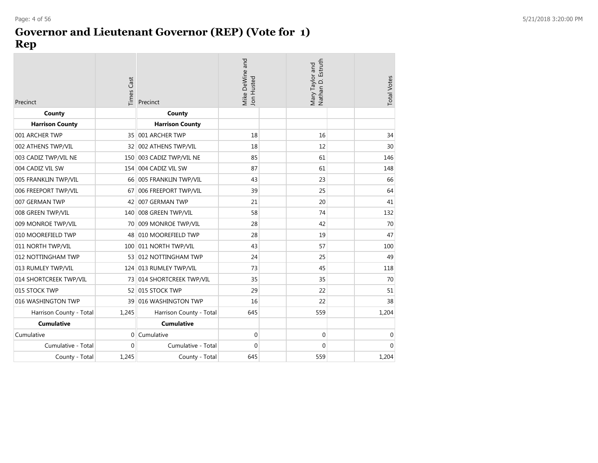## **Governor and Lieutenant Governor (REP) (Vote for 1) Rep**

| Precinct                | <b>Times Cast</b> | Precinct                | Mike DeWine and<br>Jon Husted | Mary Taylor and<br>Nathan D. Estruth | <b>Total Votes</b> |
|-------------------------|-------------------|-------------------------|-------------------------------|--------------------------------------|--------------------|
| County                  |                   | County                  |                               |                                      |                    |
| <b>Harrison County</b>  |                   | <b>Harrison County</b>  |                               |                                      |                    |
| 001 ARCHER TWP          | 35 <sup>1</sup>   | 001 ARCHER TWP          | 18                            | 16                                   | 34                 |
| 002 ATHENS TWP/VIL      | 32                | 002 ATHENS TWP/VIL      | 18                            | 12                                   | 30                 |
| 003 CADIZ TWP/VIL NE    | 150               | 003 CADIZ TWP/VIL NE    | 85                            | 61                                   | 146                |
| 004 CADIZ VIL SW        | 154               | 004 CADIZ VIL SW        | 87                            | 61                                   | 148                |
| 005 FRANKLIN TWP/VIL    | 66                | 005 FRANKLIN TWP/VIL    | 43                            | 23                                   | 66                 |
| 006 FREEPORT TWP/VIL    | 67                | 006 FREEPORT TWP/VIL    | 39                            | 25                                   | 64                 |
| 007 GERMAN TWP          | 42                | 007 GERMAN TWP          | 21                            | 20                                   | 41                 |
| 008 GREEN TWP/VIL       | 140               | 008 GREEN TWP/VIL       | 58                            | 74                                   | 132                |
| 009 MONROE TWP/VIL      | 70                | 009 MONROE TWP/VIL      | 28                            | 42                                   | 70                 |
| 010 MOOREFIELD TWP      | 48                | 010 MOOREFIELD TWP      | 28                            | 19                                   | 47                 |
| 011 NORTH TWP/VIL       | 100               | 011 NORTH TWP/VIL       | 43                            | 57                                   | 100                |
| 012 NOTTINGHAM TWP      | 53 <sup>1</sup>   | 012 NOTTINGHAM TWP      | 24                            | 25                                   | 49                 |
| 013 RUMLEY TWP/VIL      | 124               | 013 RUMLEY TWP/VIL      | 73                            | 45                                   | 118                |
| 014 SHORTCREEK TWP/VIL  | 73                | 014 SHORTCREEK TWP/VIL  | 35                            | 35                                   | 70                 |
| 015 STOCK TWP           |                   | 52 015 STOCK TWP        | 29                            | 22                                   | 51                 |
| 016 WASHINGTON TWP      | 39                | 016 WASHINGTON TWP      | 16                            | 22                                   | 38                 |
| Harrison County - Total | 1,245             | Harrison County - Total | 645                           | 559                                  | 1,204              |
| <b>Cumulative</b>       |                   | <b>Cumulative</b>       |                               |                                      |                    |
| Cumulative              | 0                 | Cumulative              | 0                             | $\pmb{0}$                            | 0                  |
| Cumulative - Total      | $\overline{0}$    | Cumulative - Total      | $\mathbf 0$                   | $\mathbf 0$                          | $\mathbf 0$        |
| County - Total          | 1,245             | County - Total          | 645                           | 559                                  | 1,204              |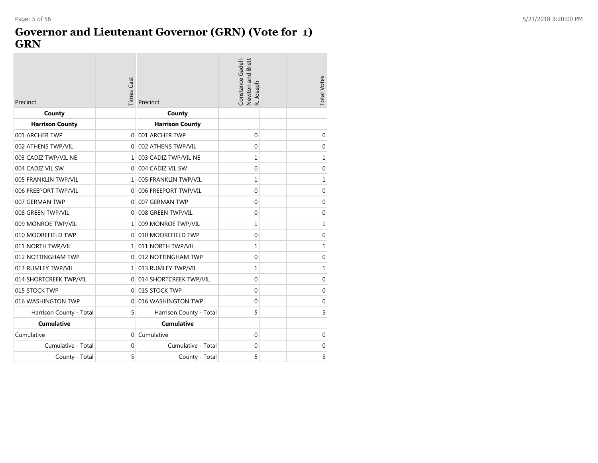#### **Governor and Lieutenant Governor (GRN) (Vote for 1) GRN**

| Precinct                | <b>Times Cast</b> | Precinct                 | Constance Gadell-<br>Newton and Brett<br>R. Joseph | <b>Total Votes</b> |
|-------------------------|-------------------|--------------------------|----------------------------------------------------|--------------------|
| County                  |                   | County                   |                                                    |                    |
| <b>Harrison County</b>  |                   | <b>Harrison County</b>   |                                                    |                    |
| 001 ARCHER TWP          | $\Omega$          | 001 ARCHER TWP           | $\Omega$                                           | $\mathbf 0$        |
| 002 ATHENS TWP/VIL      |                   | 0 002 ATHENS TWP/VIL     | 0                                                  | $\mathbf 0$        |
| 003 CADIZ TWP/VIL NE    | 1                 | 003 CADIZ TWP/VIL NE     | 1                                                  | 1                  |
| 004 CADIZ VIL SW        | $\Omega$          | 004 CADIZ VIL SW         | 0                                                  | $\mathbf 0$        |
| 005 FRANKLIN TWP/VIL    | 1                 | 005 FRANKLIN TWP/VIL     | 1                                                  | 1                  |
| 006 FREEPORT TWP/VIL    | $\Omega$          | 006 FREEPORT TWP/VIL     | 0                                                  | $\mathbf 0$        |
| 007 GERMAN TWP          | $\Omega$          | 007 GERMAN TWP           | $\mathbf 0$                                        | 0                  |
| 008 GREEN TWP/VIL       | $\mathbf{0}$      | 008 GREEN TWP/VIL        | 0                                                  | $\mathbf 0$        |
| 009 MONROE TWP/VIL      |                   | 1 009 MONROE TWP/VIL     | $\mathbf{1}$                                       | 1                  |
| 010 MOOREFIELD TWP      | $\Omega$          | 010 MOOREFIELD TWP       | 0                                                  | $\mathbf 0$        |
| 011 NORTH TWP/VIL       |                   | 1 011 NORTH TWP/VIL      | 1                                                  | 1                  |
| 012 NOTTINGHAM TWP      | $\Omega$          | 012 NOTTINGHAM TWP       | $\mathbf 0$                                        | $\overline{0}$     |
| 013 RUMLEY TWP/VIL      |                   | 1 013 RUMLEY TWP/VIL     | 1                                                  | 1                  |
| 014 SHORTCREEK TWP/VIL  |                   | 0 014 SHORTCREEK TWP/VIL | 0                                                  | $\mathbf 0$        |
| 015 STOCK TWP           | $\Omega$          | 015 STOCK TWP            | 0                                                  | 0                  |
| 016 WASHINGTON TWP      | $\Omega$          | 016 WASHINGTON TWP       | 0                                                  | $\mathbf 0$        |
| Harrison County - Total | 5                 | Harrison County - Total  | 5                                                  | 5                  |
| <b>Cumulative</b>       |                   | <b>Cumulative</b>        |                                                    |                    |
| Cumulative              | $\overline{0}$    | Cumulative               | $\mathbf 0$                                        | 0                  |
| Cumulative - Total      | $\Omega$          | Cumulative - Total       | 0                                                  | 0                  |
| County - Total          | 5                 | County - Total           | 5                                                  | 5                  |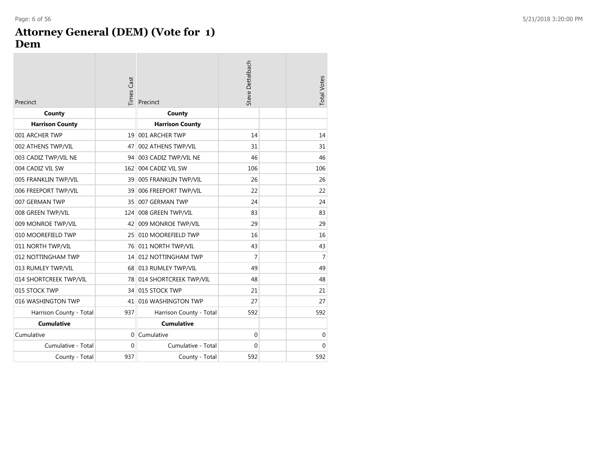#### **Attorney General (DEM) (Vote for 1 ) Dem**

| Precinct                | <b>Times Cast</b> | Precinct                  | Steve Dettelbach | <b>Total Votes</b> |
|-------------------------|-------------------|---------------------------|------------------|--------------------|
| County                  |                   | County                    |                  |                    |
| <b>Harrison County</b>  |                   | <b>Harrison County</b>    |                  |                    |
| 001 ARCHER TWP          | 19                | 001 ARCHER TWP            | 14               | 14                 |
| 002 ATHENS TWP/VIL      | 47                | 002 ATHENS TWP/VIL        | 31               | 31                 |
| 003 CADIZ TWP/VIL NE    |                   | 94 003 CADIZ TWP/VIL NE   | 46               | 46                 |
| 004 CADIZ VIL SW        | 162               | 004 CADIZ VIL SW          | 106              | 106                |
| 005 FRANKLIN TWP/VIL    |                   | 39 005 FRANKLIN TWP/VIL   | 26               | 26                 |
| 006 FREEPORT TWP/VIL    | 39                | 006 FREEPORT TWP/VIL      | 22               | 22                 |
| 007 GERMAN TWP          | 35                | 007 GERMAN TWP            | 24               | 24                 |
| 008 GREEN TWP/VIL       | 124               | 008 GREEN TWP/VIL         | 83               | 83                 |
| 009 MONROE TWP/VIL      | 42                | 009 MONROE TWP/VIL        | 29               | 29                 |
| 010 MOOREFIELD TWP      | 25                | 010 MOOREFIELD TWP        | 16               | 16                 |
| 011 NORTH TWP/VIL       |                   | 76 011 NORTH TWP/VIL      | 43               | 43                 |
| 012 NOTTINGHAM TWP      |                   | 14 012 NOTTINGHAM TWP     | $\overline{7}$   | 7                  |
| 013 RUMLEY TWP/VIL      |                   | 68 013 RUMLEY TWP/VIL     | 49               | 49                 |
| 014 SHORTCREEK TWP/VIL  |                   | 78 014 SHORTCREEK TWP/VIL | 48               | 48                 |
| 015 STOCK TWP           |                   | 34 015 STOCK TWP          | 21               | 21                 |
| 016 WASHINGTON TWP      | 41                | 016 WASHINGTON TWP        | 27               | 27                 |
| Harrison County - Total | 937               | Harrison County - Total   | 592              | 592                |
| <b>Cumulative</b>       |                   | <b>Cumulative</b>         |                  |                    |
| Cumulative              | $\Omega$          | Cumulative                | $\mathbf 0$      | 0                  |
| Cumulative - Total      | $\Omega$          | Cumulative - Total        | $\Omega$         | $\Omega$           |
| County - Total          | 937               | County - Total            | 592              | 592                |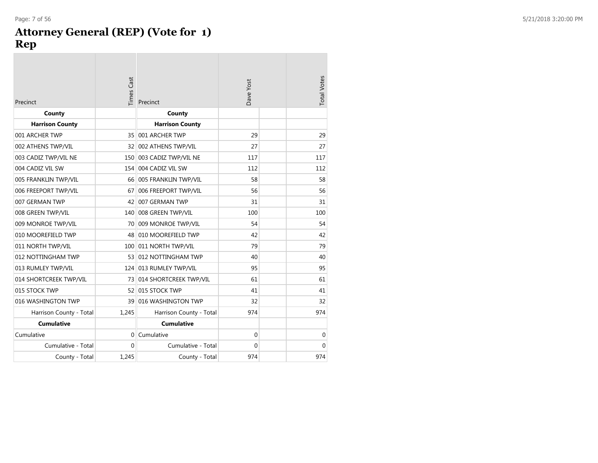#### **Attorney General (REP) (Vote for 1) Rep**

| Precinct                | Times Cast | Precinct                | Dave Yost   | <b>Total Votes</b> |
|-------------------------|------------|-------------------------|-------------|--------------------|
| County                  |            | County                  |             |                    |
| <b>Harrison County</b>  |            | <b>Harrison County</b>  |             |                    |
| 001 ARCHER TWP          | 35         | 001 ARCHER TWP          | 29          | 29                 |
| 002 ATHENS TWP/VIL      | 32         | 002 ATHENS TWP/VIL      | 27          | 27                 |
| 003 CADIZ TWP/VIL NE    | 150        | 003 CADIZ TWP/VIL NE    | 117         | 117                |
| 004 CADIZ VIL SW        | 154        | 004 CADIZ VIL SW        | 112         | 112                |
| 005 FRANKLIN TWP/VIL    | 66         | 005 FRANKLIN TWP/VIL    | 58          | 58                 |
| 006 FREEPORT TWP/VIL    | 67         | 006 FREEPORT TWP/VIL    | 56          | 56                 |
| 007 GERMAN TWP          | 42         | 007 GERMAN TWP          | 31          | 31                 |
| 008 GREEN TWP/VIL       | 140        | 008 GREEN TWP/VIL       | 100         | 100                |
| 009 MONROE TWP/VIL      | 70         | 009 MONROE TWP/VIL      | 54          | 54                 |
| 010 MOOREFIELD TWP      | 48         | 010 MOOREFIELD TWP      | 42          | 42                 |
| 011 NORTH TWP/VIL       |            | 100 011 NORTH TWP/VIL   | 79          | 79                 |
| 012 NOTTINGHAM TWP      |            | 53 012 NOTTINGHAM TWP   | 40          | 40                 |
| 013 RUMLEY TWP/VIL      |            | 124 013 RUMLEY TWP/VIL  | 95          | 95                 |
| 014 SHORTCREEK TWP/VIL  | 73         | 014 SHORTCREEK TWP/VIL  | 61          | 61                 |
| 015 STOCK TWP           | 52         | 015 STOCK TWP           | 41          | 41                 |
| 016 WASHINGTON TWP      | 39         | 016 WASHINGTON TWP      | 32          | 32                 |
| Harrison County - Total | 1,245      | Harrison County - Total | 974         | 974                |
| <b>Cumulative</b>       |            | <b>Cumulative</b>       |             |                    |
| Cumulative              | 0          | Cumulative              | $\mathbf 0$ | $\mathbf 0$        |
| Cumulative - Total      | $\Omega$   | Cumulative - Total      | $\Omega$    | $\Omega$           |
| County - Total          | 1,245      | County - Total          | 974         | 974                |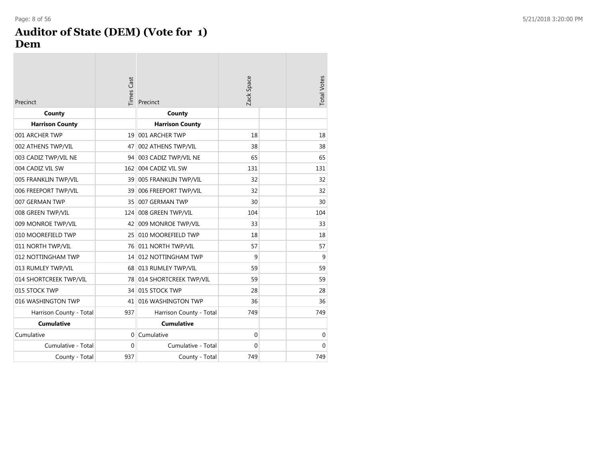#### **Auditor of State (DEM) (Vote for 1) Dem**

| Precinct                | <b>Times Cast</b> | Precinct                  | Zack Space   | <b>Total Votes</b> |
|-------------------------|-------------------|---------------------------|--------------|--------------------|
| County                  |                   | County                    |              |                    |
| <b>Harrison County</b>  |                   | <b>Harrison County</b>    |              |                    |
| 001 ARCHER TWP          |                   | 19 001 ARCHER TWP         | 18           | 18                 |
| 002 ATHENS TWP/VIL      | 47                | 002 ATHENS TWP/VIL        | 38           | 38                 |
| 003 CADIZ TWP/VIL NE    |                   | 94 003 CADIZ TWP/VIL NE   | 65           | 65                 |
| 004 CADIZ VIL SW        | 162               | 004 CADIZ VIL SW          | 131          | 131                |
| 005 FRANKLIN TWP/VIL    |                   | 39 005 FRANKLIN TWP/VIL   | 32           | 32                 |
| 006 FREEPORT TWP/VIL    | 391               | 006 FREEPORT TWP/VIL      | 32           | 32                 |
| 007 GERMAN TWP          | 35                | 007 GERMAN TWP            | 30           | 30                 |
| 008 GREEN TWP/VIL       | 124               | 008 GREEN TWP/VIL         | 104          | 104                |
| 009 MONROE TWP/VIL      | 42                | 009 MONROE TWP/VIL        | 33           | 33                 |
| 010 MOOREFIELD TWP      | 25 <sup>1</sup>   | 010 MOOREFIELD TWP        | 18           | 18                 |
| 011 NORTH TWP/VIL       |                   | 76 011 NORTH TWP/VIL      | 57           | 57                 |
| 012 NOTTINGHAM TWP      |                   | 14 012 NOTTINGHAM TWP     | 9            | 9                  |
| 013 RUMLEY TWP/VIL      |                   | 68 013 RUMLEY TWP/VIL     | 59           | 59                 |
| 014 SHORTCREEK TWP/VIL  |                   | 78 014 SHORTCREEK TWP/VIL | 59           | 59                 |
| 015 STOCK TWP           |                   | 34 015 STOCK TWP          | 28           | 28                 |
| 016 WASHINGTON TWP      | 41                | 016 WASHINGTON TWP        | 36           | 36                 |
| Harrison County - Total | 937               | Harrison County - Total   | 749          | 749                |
| <b>Cumulative</b>       |                   | <b>Cumulative</b>         |              |                    |
| Cumulative              | 0                 | Cumulative                | $\mathbf{0}$ | $\mathbf 0$        |
| Cumulative - Total      | $\mathbf{0}$      | Cumulative - Total        | $\mathbf{0}$ | $\Omega$           |
| County - Total          | 937               | County - Total            | 749          | 749                |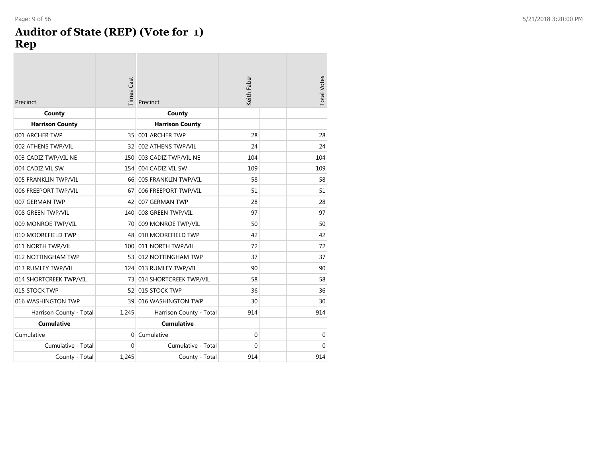## **Auditor of State (REP) (Vote for 1) Rep**

| Precinct                | <b>Times Cast</b> | Precinct                  | Keith Faber | <b>Total Votes</b> |
|-------------------------|-------------------|---------------------------|-------------|--------------------|
| County                  |                   | County                    |             |                    |
| <b>Harrison County</b>  |                   | <b>Harrison County</b>    |             |                    |
| 001 ARCHER TWP          | 35                | 001 ARCHER TWP            | 28          | 28                 |
| 002 ATHENS TWP/VIL      | 32                | 002 ATHENS TWP/VIL        | 24          | 24                 |
| 003 CADIZ TWP/VIL NE    | 150               | 003 CADIZ TWP/VIL NE      | 104         | 104                |
| 004 CADIZ VIL SW        | 154               | 004 CADIZ VIL SW          | 109         | 109                |
| 005 FRANKLIN TWP/VIL    |                   | 66 005 FRANKLIN TWP/VIL   | 58          | 58                 |
| 006 FREEPORT TWP/VIL    | 67                | 006 FREEPORT TWP/VIL      | 51          | 51                 |
| 007 GERMAN TWP          | 42                | 007 GERMAN TWP            | 28          | 28                 |
| 008 GREEN TWP/VIL       | 140               | 008 GREEN TWP/VIL         | 97          | 97                 |
| 009 MONROE TWP/VIL      |                   | 70 009 MONROE TWP/VIL     | 50          | 50                 |
| 010 MOOREFIELD TWP      | 48                | 010 MOOREFIELD TWP        | 42          | 42                 |
| 011 NORTH TWP/VIL       |                   | 100 011 NORTH TWP/VIL     | 72          | 72                 |
| 012 NOTTINGHAM TWP      |                   | 53 012 NOTTINGHAM TWP     | 37          | 37                 |
| 013 RUMLEY TWP/VIL      | 124               | 013 RUMLEY TWP/VIL        | 90          | 90                 |
| 014 SHORTCREEK TWP/VIL  |                   | 73 014 SHORTCREEK TWP/VIL | 58          | 58                 |
| 015 STOCK TWP           | 52                | 015 STOCK TWP             | 36          | 36                 |
| 016 WASHINGTON TWP      | 39                | 016 WASHINGTON TWP        | 30          | 30                 |
| Harrison County - Total | 1,245             | Harrison County - Total   | 914         | 914                |
| <b>Cumulative</b>       |                   | <b>Cumulative</b>         |             |                    |
| Cumulative              | $\Omega$          | Cumulative                | $\Omega$    | $\mathbf 0$        |
| Cumulative - Total      | $\Omega$          | Cumulative - Total        | $\Omega$    | $\Omega$           |
| County - Total          | 1,245             | County - Total            | 914         | 914                |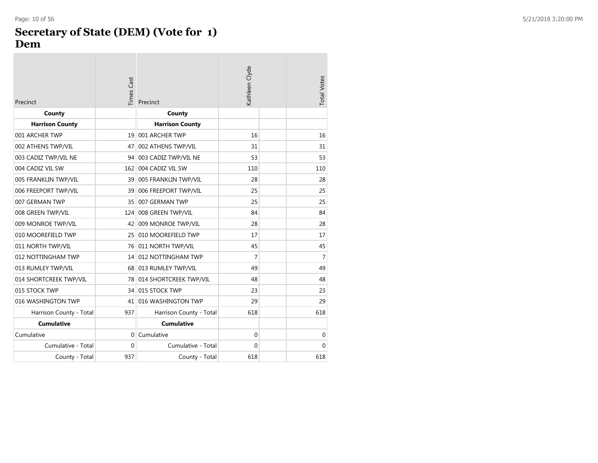#### **Secretary of State (DEM) (Vote for 1 ) Dem**

| Precinct                | <b>Times Cast</b> | Precinct                  | Kathleen Clyde | <b>Total Votes</b> |
|-------------------------|-------------------|---------------------------|----------------|--------------------|
| County                  |                   | County                    |                |                    |
| <b>Harrison County</b>  |                   | <b>Harrison County</b>    |                |                    |
| 001 ARCHER TWP          |                   | 19 001 ARCHER TWP         | 16             | 16                 |
| 002 ATHENS TWP/VIL      | 47                | 002 ATHENS TWP/VIL        | 31             | 31                 |
| 003 CADIZ TWP/VIL NE    | 94                | 003 CADIZ TWP/VIL NE      | 53             | 53                 |
| 004 CADIZ VIL SW        | 162               | 004 CADIZ VIL SW          | 110            | 110                |
| 005 FRANKLIN TWP/VIL    |                   | 39 005 FRANKLIN TWP/VIL   | 28             | 28                 |
| 006 FREEPORT TWP/VIL    | 39                | 006 FREEPORT TWP/VIL      | 25             | 25                 |
| 007 GERMAN TWP          | 35                | 007 GERMAN TWP            | 25             | 25                 |
| 008 GREEN TWP/VIL       | 124               | 008 GREEN TWP/VIL         | 84             | 84                 |
| 009 MONROE TWP/VIL      | 42                | 009 MONROE TWP/VIL        | 28             | 28                 |
| 010 MOOREFIELD TWP      | 25                | 010 MOOREFIELD TWP        | 17             | 17                 |
| 011 NORTH TWP/VIL       |                   | 76 011 NORTH TWP/VIL      | 45             | 45                 |
| 012 NOTTINGHAM TWP      |                   | 14 012 NOTTINGHAM TWP     | 7              | 7                  |
| 013 RUMLEY TWP/VIL      |                   | 68 013 RUMLEY TWP/VIL     | 49             | 49                 |
| 014 SHORTCREEK TWP/VIL  |                   | 78 014 SHORTCREEK TWP/VIL | 48             | 48                 |
| 015 STOCK TWP           |                   | 34 015 STOCK TWP          | 23             | 23                 |
| 016 WASHINGTON TWP      | 41                | 016 WASHINGTON TWP        | 29             | 29                 |
| Harrison County - Total | 937               | Harrison County - Total   | 618            | 618                |
| <b>Cumulative</b>       |                   | <b>Cumulative</b>         |                |                    |
| Cumulative              | $\Omega$          | Cumulative                | 0              | 0                  |
| Cumulative - Total      | $\mathbf{0}$      | Cumulative - Total        | $\Omega$       | $\Omega$           |
| County - Total          | 937               | County - Total            | 618            | 618                |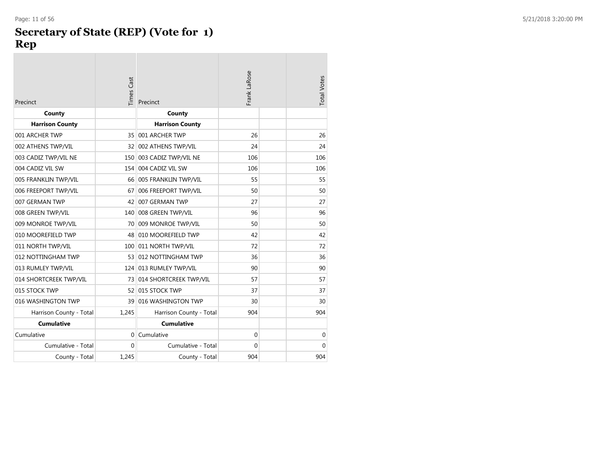#### Page: 11 of 56 5/21/2018 3:20:00 PM

#### **Secretary of State (REP) (Vote for 1 ) Rep**

| Precinct                | <b>Times Cast</b> | Precinct                  | Frank LaRose | <b>Total Votes</b> |
|-------------------------|-------------------|---------------------------|--------------|--------------------|
| County                  |                   | County                    |              |                    |
| <b>Harrison County</b>  |                   | <b>Harrison County</b>    |              |                    |
| 001 ARCHER TWP          | 35                | 001 ARCHER TWP            | 26           | 26                 |
| 002 ATHENS TWP/VIL      |                   | 32 002 ATHENS TWP/VIL     | 24           | 24                 |
| 003 CADIZ TWP/VIL NE    | 150               | 003 CADIZ TWP/VIL NE      | 106          | 106                |
| 004 CADIZ VIL SW        | 154               | 004 CADIZ VIL SW          | 106          | 106                |
| 005 FRANKLIN TWP/VIL    |                   | 66 005 FRANKLIN TWP/VIL   | 55           | 55                 |
| 006 FREEPORT TWP/VIL    | 67                | 006 FREEPORT TWP/VIL      | 50           | 50                 |
| 007 GERMAN TWP          | 42                | 007 GERMAN TWP            | 27           | 27                 |
| 008 GREEN TWP/VIL       |                   | 140 008 GREEN TWP/VIL     | 96           | 96                 |
| 009 MONROE TWP/VIL      | 70                | 009 MONROE TWP/VIL        | 50           | 50                 |
| 010 MOOREFIELD TWP      |                   | 48 010 MOOREFIELD TWP     | 42           | 42                 |
| 011 NORTH TWP/VIL       |                   | 100 011 NORTH TWP/VIL     | 72           | 72                 |
| 012 NOTTINGHAM TWP      |                   | 53 012 NOTTINGHAM TWP     | 36           | 36                 |
| 013 RUMLEY TWP/VIL      |                   | 124 013 RUMLEY TWP/VIL    | 90           | 90                 |
| 014 SHORTCREEK TWP/VIL  |                   | 73 014 SHORTCREEK TWP/VIL | 57           | 57                 |
| 015 STOCK TWP           |                   | 52 015 STOCK TWP          | 37           | 37                 |
| 016 WASHINGTON TWP      |                   | 39 016 WASHINGTON TWP     | 30           | 30                 |
| Harrison County - Total | 1,245             | Harrison County - Total   | 904          | 904                |
| <b>Cumulative</b>       |                   | <b>Cumulative</b>         |              |                    |
| Cumulative              | $\Omega$          | Cumulative                | 0            | $\mathbf 0$        |
| Cumulative - Total      | $\Omega$          | Cumulative - Total        | $\Omega$     | $\Omega$           |
| County - Total          | 1.245             | County - Total            | 904          | 904                |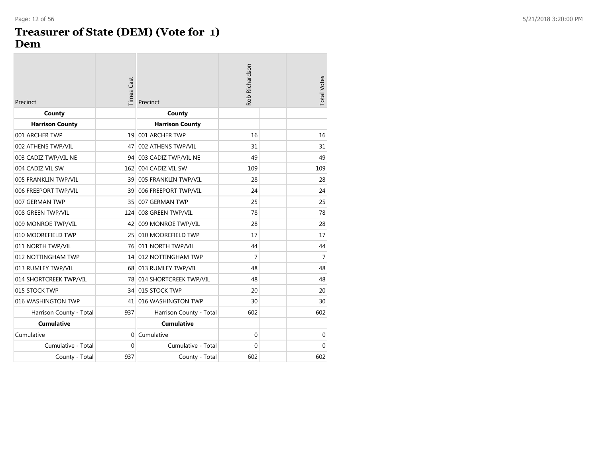#### **Treasurer of State (DEM) (Vote for 1 ) Dem**

| Precinct                | <b>Times Cast</b> | Precinct                  | Rob Richardson | <b>Total Votes</b> |
|-------------------------|-------------------|---------------------------|----------------|--------------------|
| County                  |                   | County                    |                |                    |
| <b>Harrison County</b>  |                   | <b>Harrison County</b>    |                |                    |
| 001 ARCHER TWP          |                   | 19 001 ARCHER TWP         | 16             | 16                 |
| 002 ATHENS TWP/VIL      | 47                | 002 ATHENS TWP/VIL        | 31             | 31                 |
| 003 CADIZ TWP/VIL NE    |                   | 94 003 CADIZ TWP/VIL NE   | 49             | 49                 |
| 004 CADIZ VIL SW        | 162               | 004 CADIZ VIL SW          | 109            | 109                |
| 005 FRANKLIN TWP/VIL    |                   | 39 005 FRANKLIN TWP/VIL   | 28             | 28                 |
| 006 FREEPORT TWP/VIL    | 39                | 006 FREEPORT TWP/VIL      | 24             | 24                 |
| 007 GERMAN TWP          | 35                | 007 GERMAN TWP            | 25             | 25                 |
| 008 GREEN TWP/VIL       | 124               | 008 GREEN TWP/VIL         | 78             | 78                 |
| 009 MONROE TWP/VIL      | 42                | 009 MONROE TWP/VIL        | 28             | 28                 |
| 010 MOOREFIELD TWP      | 25                | 010 MOOREFIELD TWP        | 17             | 17                 |
| 011 NORTH TWP/VIL       |                   | 76 011 NORTH TWP/VIL      | 44             | 44                 |
| 012 NOTTINGHAM TWP      |                   | 14 012 NOTTINGHAM TWP     | 7              | 7                  |
| 013 RUMLEY TWP/VIL      |                   | 68 013 RUMLEY TWP/VIL     | 48             | 48                 |
| 014 SHORTCREEK TWP/VIL  |                   | 78 014 SHORTCREEK TWP/VIL | 48             | 48                 |
| 015 STOCK TWP           |                   | 34 015 STOCK TWP          | 20             | 20                 |
| 016 WASHINGTON TWP      | 41                | 016 WASHINGTON TWP        | 30             | 30                 |
| Harrison County - Total | 937               | Harrison County - Total   | 602            | 602                |
| <b>Cumulative</b>       |                   | <b>Cumulative</b>         |                |                    |
| Cumulative              | 0                 | Cumulative                | 0              | $\mathbf 0$        |
| Cumulative - Total      | $\Omega$          | Cumulative - Total        | $\Omega$       | 0                  |
| County - Total          | 937               | County - Total            | 602            | 602                |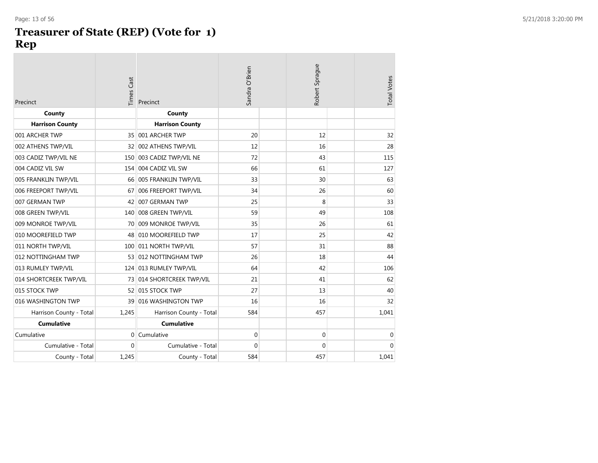#### **Treasurer of State (REP) (Vote for 1 ) Rep**

| Precinct                | Times Cast   | Precinct                  | Sandra O'Brien | Robert Sprague | <b>Total Votes</b> |
|-------------------------|--------------|---------------------------|----------------|----------------|--------------------|
| County                  |              | County                    |                |                |                    |
| <b>Harrison County</b>  |              | <b>Harrison County</b>    |                |                |                    |
| 001 ARCHER TWP          |              | 35 001 ARCHER TWP         | 20             | 12             | 32                 |
| 002 ATHENS TWP/VIL      | 32           | 002 ATHENS TWP/VIL        | 12             | 16             | 28                 |
| 003 CADIZ TWP/VIL NE    | 150          | 003 CADIZ TWP/VIL NE      | 72             | 43             | 115                |
| 004 CADIZ VIL SW        |              | 154 004 CADIZ VIL SW      | 66             | 61             | 127                |
| 005 FRANKLIN TWP/VIL    | 66           | 005 FRANKLIN TWP/VIL      | 33             | 30             | 63                 |
| 006 FREEPORT TWP/VIL    | 67           | 006 FREEPORT TWP/VIL      | 34             | 26             | 60                 |
| 007 GERMAN TWP          | 42           | 007 GERMAN TWP            | 25             | 8              | 33                 |
| 008 GREEN TWP/VIL       | 140          | 008 GREEN TWP/VIL         | 59             | 49             | 108                |
| 009 MONROE TWP/VIL      | 70           | 009 MONROE TWP/VIL        | 35             | 26             | 61                 |
| 010 MOOREFIELD TWP      |              | 48 010 MOOREFIELD TWP     | 17             | 25             | 42                 |
| 011 NORTH TWP/VIL       | 100          | 011 NORTH TWP/VIL         | 57             | 31             | 88                 |
| 012 NOTTINGHAM TWP      |              | 53 012 NOTTINGHAM TWP     | 26             | 18             | 44                 |
| 013 RUMLEY TWP/VIL      | 124          | 013 RUMLEY TWP/VIL        | 64             | 42             | 106                |
| 014 SHORTCREEK TWP/VIL  |              | 73 014 SHORTCREEK TWP/VIL | 21             | 41             | 62                 |
| 015 STOCK TWP           |              | 52 015 STOCK TWP          | 27             | 13             | 40                 |
| 016 WASHINGTON TWP      | 39           | 016 WASHINGTON TWP        | 16             | 16             | 32                 |
| Harrison County - Total | 1,245        | Harrison County - Total   | 584            | 457            | 1,041              |
| <b>Cumulative</b>       |              | <b>Cumulative</b>         |                |                |                    |
| Cumulative              |              | 0 Cumulative              | 0              | $\mathbf 0$    | $\mathbf{0}$       |
| Cumulative - Total      | $\mathbf{0}$ | Cumulative - Total        | $\Omega$       | $\mathbf{0}$   | $\Omega$           |
| County - Total          | 1,245        | County - Total            | 584            | 457            | 1,041              |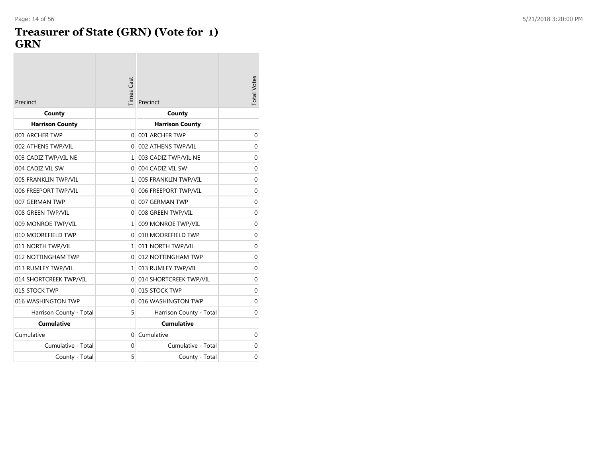$\mathcal{L}^{\text{max}}$ 

#### **Treasurer of State (GRN) (Vote for 1 ) GRN**

| Precinct                | <b>Times Cast</b> | Precinct                 | <b>Total Votes</b> |
|-------------------------|-------------------|--------------------------|--------------------|
| County                  |                   | County                   |                    |
| <b>Harrison County</b>  |                   | <b>Harrison County</b>   |                    |
| 001 ARCHER TWP          | 0                 | 001 ARCHER TWP           | 0                  |
| 002 ATHENS TWP/VIL      | $\Omega$          | 002 ATHENS TWP/VIL       | 0                  |
| 003 CADIZ TWP/VIL NE    |                   | 1 003 CADIZ TWP/VIL NE   | 0                  |
| 004 CADIZ VIL SW        |                   | 0 004 CADIZ VIL SW       | $\mathbf 0$        |
| 005 FRANKLIN TWP/VIL    | $\mathbf{1}$      | 005 FRANKLIN TWP/VIL     | $\overline{0}$     |
| 006 FREEPORT TWP/VIL    | $\overline{0}$    | 006 FREEPORT TWP/VIL     | $\mathbf 0$        |
| 007 GERMAN TWP          | 0                 | 007 GERMAN TWP           | $\mathbf 0$        |
| 008 GREEN TWP/VIL       | $\Omega$          | 008 GREEN TWP/VIL        | 0                  |
| 009 MONROE TWP/VIL      |                   | 1 009 MONROE TWP/VIL     | $\mathbf 0$        |
| 010 MOOREFIELD TWP      | $\Omega$          | 010 MOOREFIELD TWP       | $\mathbf 0$        |
| 011 NORTH TWP/VIL       |                   | 1 011 NORTH TWP/VIL      | 0                  |
| 012 NOTTINGHAM TWP      |                   | 0 012 NOTTINGHAM TWP     | 0                  |
| 013 RUMLEY TWP/VIL      |                   | 1 013 RUMLEY TWP/VIL     | $\overline{0}$     |
| 014 SHORTCREEK TWP/VIL  |                   | 0 014 SHORTCREEK TWP/VIL | $\mathbf 0$        |
| 015 STOCK TWP           |                   | 0 015 STOCK TWP          | 0                  |
| 016 WASHINGTON TWP      | $\Omega$          | 016 WASHINGTON TWP       | $\mathbf 0$        |
| Harrison County - Total | 5                 | Harrison County - Total  | 0                  |
| <b>Cumulative</b>       |                   | <b>Cumulative</b>        |                    |
| Cumulative              | 0                 | Cumulative               | $\mathbf 0$        |
| Cumulative - Total      | 0                 | Cumulative - Total       | $\mathbf 0$        |
| County - Total          | 5                 | County - Total           | $\Omega$           |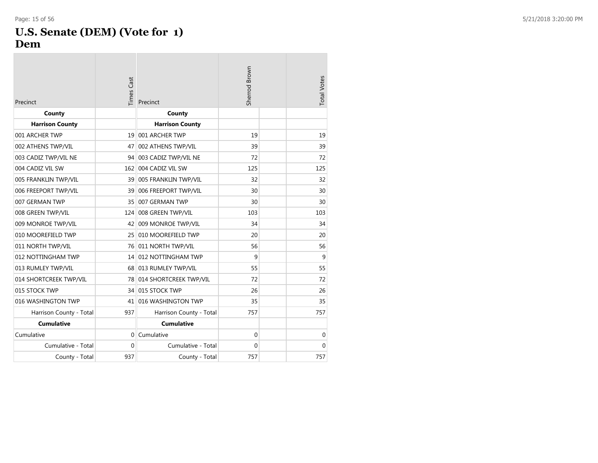#### **U.S. Senate (DEM) (Vote for 1 ) Dem**

| Precinct                | <b>Times Cast</b> | Precinct                  | Sherrod Brown | <b>Total Votes</b> |
|-------------------------|-------------------|---------------------------|---------------|--------------------|
| County                  |                   | County                    |               |                    |
| <b>Harrison County</b>  |                   | <b>Harrison County</b>    |               |                    |
| 001 ARCHER TWP          | 19                | 001 ARCHER TWP            | 19            | 19                 |
| 002 ATHENS TWP/VIL      | 47                | 002 ATHENS TWP/VIL        | 39            | 39                 |
| 003 CADIZ TWP/VIL NE    | 94                | 003 CADIZ TWP/VIL NE      | 72            | 72                 |
| 004 CADIZ VIL SW        | 162               | 004 CADIZ VIL SW          | 125           | 125                |
| 005 FRANKLIN TWP/VIL    |                   | 39 005 FRANKLIN TWP/VIL   | 32            | 32                 |
| 006 FREEPORT TWP/VIL    | 39                | 006 FREEPORT TWP/VIL      | 30            | 30                 |
| 007 GERMAN TWP          | 35                | 007 GERMAN TWP            | 30            | 30                 |
| 008 GREEN TWP/VIL       | 124               | 008 GREEN TWP/VIL         | 103           | 103                |
| 009 MONROE TWP/VIL      | 42                | 009 MONROE TWP/VIL        | 34            | 34                 |
| 010 MOOREFIELD TWP      | 25                | 010 MOOREFIELD TWP        | 20            | 20                 |
| 011 NORTH TWP/VIL       |                   | 76 011 NORTH TWP/VIL      | 56            | 56                 |
| 012 NOTTINGHAM TWP      |                   | 14 012 NOTTINGHAM TWP     | 9             | 9                  |
| 013 RUMLEY TWP/VIL      |                   | 68 013 RUMLEY TWP/VIL     | 55            | 55                 |
| 014 SHORTCREEK TWP/VIL  |                   | 78 014 SHORTCREEK TWP/VIL | 72            | 72                 |
| 015 STOCK TWP           |                   | 34 015 STOCK TWP          | 26            | 26                 |
| 016 WASHINGTON TWP      |                   | 41 016 WASHINGTON TWP     | 35            | 35                 |
| Harrison County - Total | 937               | Harrison County - Total   | 757           | 757                |
| <b>Cumulative</b>       |                   | <b>Cumulative</b>         |               |                    |
| Cumulative              | $\Omega$          | Cumulative                | $\mathbf 0$   | $\mathbf 0$        |
| Cumulative - Total      | $\Omega$          | Cumulative - Total        | $\Omega$      | $\Omega$           |
| County - Total          | 937               | County - Total            | 757           | 757                |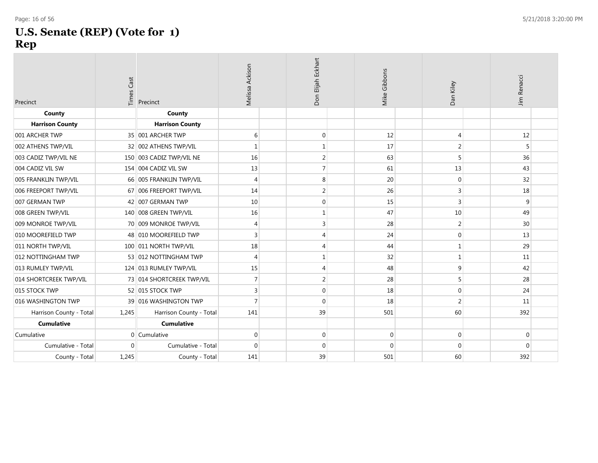#### **U.S. Senate (REP) (Vote for 1 ) Rep**

| Precinct                | Times Cast     | Precinct                  | Melissa Ackison | Don Elijah Eckhart | Mike Gibbons | Dan Kiley      | Jim Renacci |  |
|-------------------------|----------------|---------------------------|-----------------|--------------------|--------------|----------------|-------------|--|
| County                  |                | County                    |                 |                    |              |                |             |  |
| <b>Harrison County</b>  |                | <b>Harrison County</b>    |                 |                    |              |                |             |  |
| 001 ARCHER TWP          |                | 35 001 ARCHER TWP         | 6               | $\mathbf 0$        | 12           | $\overline{4}$ | 12          |  |
| 002 ATHENS TWP/VIL      |                | 32 002 ATHENS TWP/VIL     | $\mathbf 1$     | $\mathbf 1$        | 17           | $\overline{2}$ | 5           |  |
| 003 CADIZ TWP/VIL NE    |                | 150 003 CADIZ TWP/VIL NE  | 16              | $\overline{2}$     | 63           | 5              | 36          |  |
| 004 CADIZ VIL SW        |                | 154 004 CADIZ VIL SW      | 13              | $\overline{7}$     | 61           | 13             | 43          |  |
| 005 FRANKLIN TWP/VIL    |                | 66 005 FRANKLIN TWP/VIL   | $\overline{4}$  | 8                  | 20           | $\mathbf 0$    | 32          |  |
| 006 FREEPORT TWP/VIL    |                | 67 006 FREEPORT TWP/VIL   | 14              | $\overline{2}$     | 26           | 3              | 18          |  |
| 007 GERMAN TWP          |                | 42 007 GERMAN TWP         | 10              | $\mathbf 0$        | 15           | $\overline{3}$ | 9           |  |
| 008 GREEN TWP/VIL       |                | 140 008 GREEN TWP/VIL     | 16              | $\mathbf{1}$       | 47           | 10             | 49          |  |
| 009 MONROE TWP/VIL      |                | 70 009 MONROE TWP/VIL     | $\overline{4}$  | 3                  | 28           | $\overline{2}$ | 30          |  |
| 010 MOOREFIELD TWP      |                | 48 010 MOOREFIELD TWP     | $\overline{3}$  | 4                  | 24           | $\mathbf 0$    | 13          |  |
| 011 NORTH TWP/VIL       |                | 100 011 NORTH TWP/VIL     | 18              | 4                  | 44           | $\mathbf{1}$   | 29          |  |
| 012 NOTTINGHAM TWP      |                | 53 012 NOTTINGHAM TWP     | $\overline{4}$  | $\mathbf 1$        | 32           | $\mathbf 1$    | 11          |  |
| 013 RUMLEY TWP/VIL      |                | 124 013 RUMLEY TWP/VIL    | 15              | $\overline{4}$     | 48           | 9              | 42          |  |
| 014 SHORTCREEK TWP/VIL  |                | 73 014 SHORTCREEK TWP/VIL | $\overline{7}$  | 2                  | 28           | 5              | 28          |  |
| 015 STOCK TWP           |                | 52 015 STOCK TWP          | 3               | $\mathbf 0$        | 18           | $\mathbf 0$    | 24          |  |
| 016 WASHINGTON TWP      |                | 39 016 WASHINGTON TWP     | $\overline{7}$  | $\mathbf 0$        | 18           | $\overline{2}$ | 11          |  |
| Harrison County - Total | 1,245          | Harrison County - Total   | 141             | 39                 | 501          | 60             | 392         |  |
| <b>Cumulative</b>       |                | <b>Cumulative</b>         |                 |                    |              |                |             |  |
| Cumulative              | $\overline{0}$ | Cumulative                | $\mathbf 0$     | $\mathbf 0$        | $\mathbf 0$  | $\mathbf 0$    | $\mathbf 0$ |  |
| Cumulative - Total      | $\mathbf{0}$   | Cumulative - Total        | $\mathbf{0}$    | $\mathbf 0$        | $\Omega$     | $\mathbf{0}$   | $\mathbf 0$ |  |
| County - Total          | 1,245          | County - Total            | 141             | 39                 | 501          | 60             | 392         |  |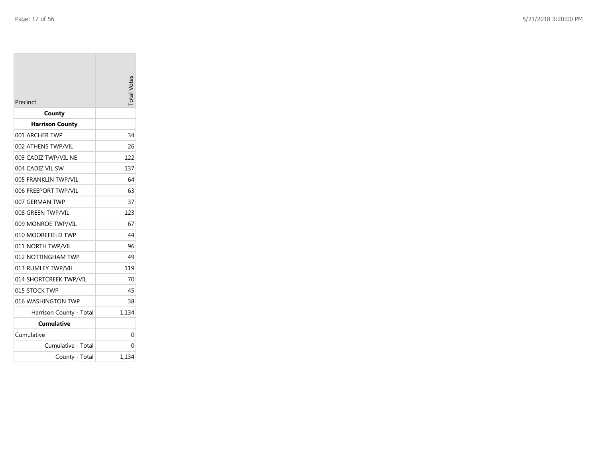| Precinct                | otal Votes |
|-------------------------|------------|
| County                  |            |
| <b>Harrison County</b>  |            |
| 001 ARCHER TWP          | 34         |
| 002 ATHENS TWP/VIL      | 26         |
| 003 CADIZ TWP/VIL NE    | 122        |
| 004 CADIZ VIL SW        | 137        |
| 005 FRANKLIN TWP/VIL    | 64         |
| 006 FREEPORT TWP/VIL    | 63         |
| 007 GERMAN TWP          | 37         |
| 008 GREEN TWP/VIL       | 123        |
| 009 MONROE TWP/VIL      | 67         |
| 010 MOOREFIELD TWP      | 44         |
| 011 NORTH TWP/VIL       | 96         |
| 012 NOTTINGHAM TWP      | 49         |
| 013 RUMLEY TWP/VIL      | 119        |
| 014 SHORTCREEK TWP/VIL  | 70         |
| 015 STOCK TWP           | 45         |
| 016 WASHINGTON TWP      | 38         |
| Harrison County - Total | 1,134      |
| Cumulative              |            |
| Cumulative              | 0          |
| Cumulative - Total      | 0          |
| County - Total          | 1,134      |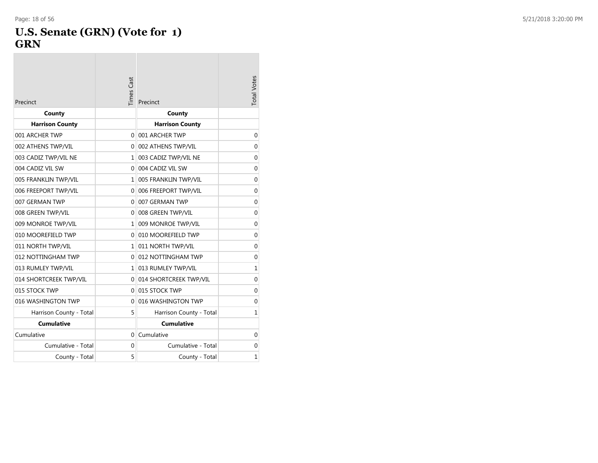**College** 

#### **U.S. Senate (GRN) (Vote for 1 ) GRN**

| Precinct                | <b>Times Cast</b> | Precinct                 | <b>Total Votes</b> |
|-------------------------|-------------------|--------------------------|--------------------|
| County                  |                   | County                   |                    |
| <b>Harrison County</b>  |                   | <b>Harrison County</b>   |                    |
| 001 ARCHER TWP          | $\Omega$          | 001 ARCHER TWP           | $\mathbf{0}$       |
| 002 ATHENS TWP/VIL      | $\Omega$          | 002 ATHENS TWP/VIL       | $\Omega$           |
| 003 CADIZ TWP/VIL NE    | $\mathbf{1}$      | 003 CADIZ TWP/VIL NE     | 0                  |
| 004 CADIZ VIL SW        | 0                 | 004 CADIZ VIL SW         | $\mathbf 0$        |
| 005 FRANKLIN TWP/VIL    | $\mathbf{1}$      | 005 FRANKLIN TWP/VIL     | $\mathbf 0$        |
| 006 FREEPORT TWP/VIL    |                   | 0 006 FREEPORT TWP/VIL   | 0                  |
| 007 GERMAN TWP          | $\Omega$          | 007 GERMAN TWP           | $\mathbf{0}$       |
| 008 GREEN TWP/VIL       | $\Omega$          | 008 GREEN TWP/VIL        | $\mathbf 0$        |
| 009 MONROE TWP/VIL      | 1                 | 009 MONROE TWP/VIL       | $\mathbf 0$        |
| 010 MOOREFIELD TWP      | $\Omega$          | 010 MOOREFIELD TWP       | $\mathbf 0$        |
| 011 NORTH TWP/VIL       | $\mathbf{1}$      | 011 NORTH TWP/VIL        | 0                  |
| 012 NOTTINGHAM TWP      | $\Omega$          | 012 NOTTINGHAM TWP       | $\mathbf 0$        |
| 013 RUMLEY TWP/VIL      |                   | 1 013 RUMLEY TWP/VIL     | $\mathbf{1}$       |
| 014 SHORTCREEK TWP/VIL  |                   | 0 014 SHORTCREEK TWP/VIL | 0                  |
| 015 STOCK TWP           | $\Omega$          | 015 STOCK TWP            | $\mathbf 0$        |
| 016 WASHINGTON TWP      | $\Omega$          | 016 WASHINGTON TWP       | $\mathbf 0$        |
| Harrison County - Total | 5                 | Harrison County - Total  | $\mathbf{1}$       |
| <b>Cumulative</b>       |                   | <b>Cumulative</b>        |                    |
| Cumulative              | $\Omega$          | Cumulative               | $\mathbf{0}$       |
| Cumulative - Total      | 0                 | Cumulative - Total       | 0                  |
| County - Total          | 5                 | County - Total           | $\mathbf{1}$       |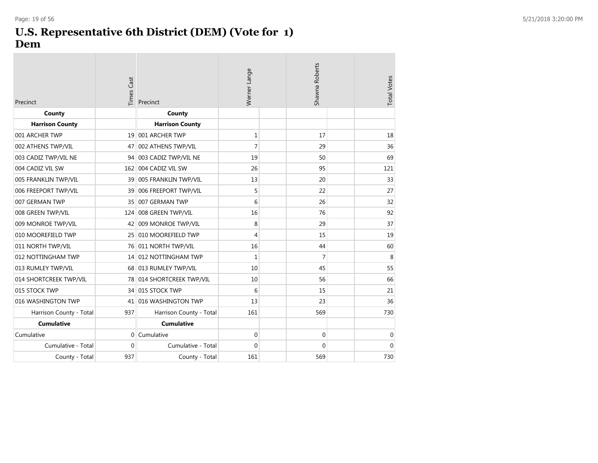#### **U.S. Representative 6th District (DEM) (Vote for 1) Dem**

| Precinct                | <b>Times Cast</b> | Precinct                  | Werner Lange | Shawna Roberts | <b>Total Votes</b> |
|-------------------------|-------------------|---------------------------|--------------|----------------|--------------------|
| County                  |                   | County                    |              |                |                    |
| <b>Harrison County</b>  |                   | <b>Harrison County</b>    |              |                |                    |
| 001 ARCHER TWP          |                   | 19 001 ARCHER TWP         | 1            | 17             | 18                 |
| 002 ATHENS TWP/VIL      | 47                | 002 ATHENS TWP/VIL        | 7            | 29             | 36                 |
| 003 CADIZ TWP/VIL NE    |                   | 94 003 CADIZ TWP/VIL NE   | 19           | 50             | 69                 |
| 004 CADIZ VIL SW        |                   | 162 004 CADIZ VIL SW      | 26           | 95             | 121                |
| 005 FRANKLIN TWP/VIL    | 39                | 005 FRANKLIN TWP/VIL      | 13           | 20             | 33                 |
| 006 FREEPORT TWP/VIL    | 39                | 006 FREEPORT TWP/VIL      | 5            | 22             | 27                 |
| 007 GERMAN TWP          | 35                | 007 GERMAN TWP            | 6            | 26             | 32                 |
| 008 GREEN TWP/VIL       | 124               | 008 GREEN TWP/VIL         | 16           | 76             | 92                 |
| 009 MONROE TWP/VIL      | 42                | 009 MONROE TWP/VIL        | 8            | 29             | 37                 |
| 010 MOOREFIELD TWP      |                   | 25 010 MOOREFIELD TWP     | 4            | 15             | 19                 |
| 011 NORTH TWP/VIL       | 76                | 011 NORTH TWP/VIL         | 16           | 44             | 60                 |
| 012 NOTTINGHAM TWP      |                   | 14 012 NOTTINGHAM TWP     | 1            | 7              | 8                  |
| 013 RUMLEY TWP/VIL      |                   | 68 013 RUMLEY TWP/VIL     | 10           | 45             | 55                 |
| 014 SHORTCREEK TWP/VIL  |                   | 78 014 SHORTCREEK TWP/VIL | 10           | 56             | 66                 |
| 015 STOCK TWP           |                   | 34 015 STOCK TWP          | 6            | 15             | 21                 |
| 016 WASHINGTON TWP      | 41                | 016 WASHINGTON TWP        | 13           | 23             | 36                 |
| Harrison County - Total | 937               | Harrison County - Total   | 161          | 569            | 730                |
| <b>Cumulative</b>       |                   | <b>Cumulative</b>         |              |                |                    |
| Cumulative              | $\mathbf{0}$      | Cumulative                | $\mathbf 0$  | 0              | $\mathbf 0$        |
| Cumulative - Total      | $\mathbf{0}$      | Cumulative - Total        | 0            | 0              | $\mathbf 0$        |
| County - Total          | 937               | County - Total            | 161          | 569            | 730                |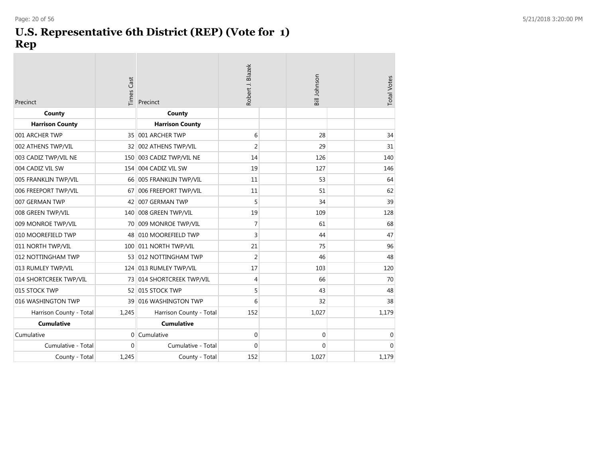#### **U.S. Representative 6th District (REP) (Vote for 1) Rep**

| Precinct                | <b>Times Cast</b> | Precinct                  | Robert J. Blazek |  | Bill Johnson |  | <b>Total Votes</b> |
|-------------------------|-------------------|---------------------------|------------------|--|--------------|--|--------------------|
| County                  |                   | County                    |                  |  |              |  |                    |
| <b>Harrison County</b>  |                   | <b>Harrison County</b>    |                  |  |              |  |                    |
| 001 ARCHER TWP          |                   | 35 001 ARCHER TWP         | 6                |  | 28           |  | 34                 |
| 002 ATHENS TWP/VIL      | 32 <sup>1</sup>   | 002 ATHENS TWP/VIL        | $\overline{2}$   |  | 29           |  | 31                 |
| 003 CADIZ TWP/VIL NE    |                   | 150 003 CADIZ TWP/VIL NE  | 14               |  | 126          |  | 140                |
| 004 CADIZ VIL SW        |                   | 154 004 CADIZ VIL SW      | 19               |  | 127          |  | 146                |
| 005 FRANKLIN TWP/VIL    |                   | 66 005 FRANKLIN TWP/VIL   | 11               |  | 53           |  | 64                 |
| 006 FREEPORT TWP/VIL    | 67                | 006 FREEPORT TWP/VIL      | 11               |  | 51           |  | 62                 |
| 007 GERMAN TWP          |                   | 42 007 GERMAN TWP         | 5                |  | 34           |  | 39                 |
| 008 GREEN TWP/VIL       |                   | 140 008 GREEN TWP/VIL     | 19               |  | 109          |  | 128                |
| 009 MONROE TWP/VIL      |                   | 70 009 MONROE TWP/VIL     | $\overline{7}$   |  | 61           |  | 68                 |
| 010 MOOREFIELD TWP      |                   | 48 010 MOOREFIELD TWP     | $\mathsf 3$      |  | 44           |  | 47                 |
| 011 NORTH TWP/VIL       |                   | 100 011 NORTH TWP/VIL     | 21               |  | 75           |  | 96                 |
| 012 NOTTINGHAM TWP      |                   | 53 012 NOTTINGHAM TWP     | $\overline{2}$   |  | 46           |  | 48                 |
| 013 RUMLEY TWP/VIL      |                   | 124 013 RUMLEY TWP/VIL    | 17               |  | 103          |  | 120                |
| 014 SHORTCREEK TWP/VIL  |                   | 73 014 SHORTCREEK TWP/VIL | $\overline{4}$   |  | 66           |  | 70                 |
| 015 STOCK TWP           |                   | 52 015 STOCK TWP          | 5                |  | 43           |  | 48                 |
| 016 WASHINGTON TWP      | 39                | 016 WASHINGTON TWP        | 6                |  | 32           |  | 38                 |
| Harrison County - Total | 1,245             | Harrison County - Total   | 152              |  | 1,027        |  | 1,179              |
| <b>Cumulative</b>       |                   | <b>Cumulative</b>         |                  |  |              |  |                    |
| Cumulative              | $\overline{0}$    | Cumulative                | $\mathbf 0$      |  | 0            |  | $\mathbf 0$        |
| Cumulative - Total      | $\mathbf{0}$      | Cumulative - Total        | $\mathbf{0}$     |  | $\mathbf{0}$ |  | $\mathbf{0}$       |
| County - Total          | 1,245             | County - Total            | 152              |  | 1.027        |  | 1,179              |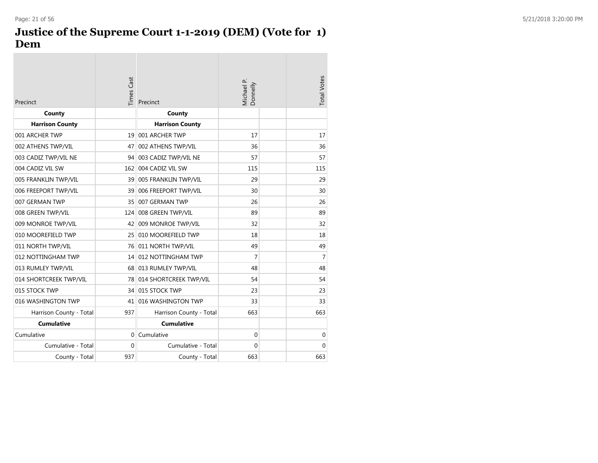#### **Justice of the Supreme Court 1-1-2019 (DEM) (Vote for 1) Dem**

| Precinct                | <b>Times Cast</b> | Precinct                  | Michael P.<br>Donnelly | <b>Total Votes</b> |
|-------------------------|-------------------|---------------------------|------------------------|--------------------|
| County                  |                   | County                    |                        |                    |
| <b>Harrison County</b>  |                   | <b>Harrison County</b>    |                        |                    |
| 001 ARCHER TWP          | 19                | 001 ARCHER TWP            | 17                     | 17                 |
| 002 ATHENS TWP/VIL      | 47                | 002 ATHENS TWP/VIL        | 36                     | 36                 |
| 003 CADIZ TWP/VIL NE    | 94                | 003 CADIZ TWP/VIL NE      | 57                     | 57                 |
| 004 CADIZ VIL SW        | 162               | 004 CADIZ VIL SW          | 115                    | 115                |
| 005 FRANKLIN TWP/VIL    |                   | 39 005 FRANKLIN TWP/VIL   | 29                     | 29                 |
| 006 FREEPORT TWP/VIL    | 39                | 006 FREEPORT TWP/VIL      | 30                     | 30                 |
| 007 GERMAN TWP          | 35                | 007 GERMAN TWP            | 26                     | 26                 |
| 008 GREEN TWP/VIL       | 124               | 008 GREEN TWP/VIL         | 89                     | 89                 |
| 009 MONROE TWP/VIL      | 42                | 009 MONROE TWP/VIL        | 32                     | 32                 |
| 010 MOOREFIELD TWP      | 25                | 010 MOOREFIELD TWP        | 18                     | 18                 |
| 011 NORTH TWP/VIL       |                   | 76 011 NORTH TWP/VIL      | 49                     | 49                 |
| 012 NOTTINGHAM TWP      |                   | 14 012 NOTTINGHAM TWP     | 7                      | 7                  |
| 013 RUMLEY TWP/VIL      |                   | 68 013 RUMLEY TWP/VIL     | 48                     | 48                 |
| 014 SHORTCREEK TWP/VIL  |                   | 78 014 SHORTCREEK TWP/VIL | 54                     | 54                 |
| 015 STOCK TWP           |                   | 34 015 STOCK TWP          | 23                     | 23                 |
| 016 WASHINGTON TWP      | 41                | 016 WASHINGTON TWP        | 33                     | 33                 |
| Harrison County - Total | 937               | Harrison County - Total   | 663                    | 663                |
| <b>Cumulative</b>       |                   | <b>Cumulative</b>         |                        |                    |
| Cumulative              | 0                 | Cumulative                | 0                      | 0                  |
| Cumulative - Total      | $\Omega$          | Cumulative - Total        | $\Omega$               | $\Omega$           |
| County - Total          | 937               | County - Total            | 663                    | 663                |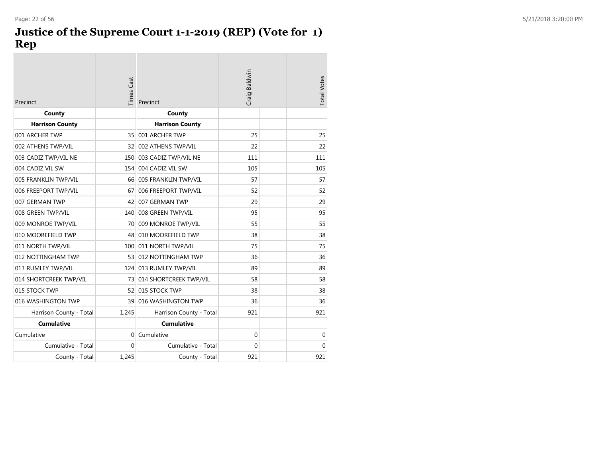## **Justice of the Supreme Court 1-1-2019 (REP) (Vote for 1) Rep**

| Precinct                | <b>Times Cast</b> | Precinct                  | Craig Baldwin | <b>Total Votes</b> |
|-------------------------|-------------------|---------------------------|---------------|--------------------|
| County                  |                   | County                    |               |                    |
| <b>Harrison County</b>  |                   | <b>Harrison County</b>    |               |                    |
| 001 ARCHER TWP          | 35                | 001 ARCHER TWP            | 25            | 25                 |
| 002 ATHENS TWP/VIL      | 32                | 002 ATHENS TWP/VIL        | 22            | 22                 |
| 003 CADIZ TWP/VIL NE    | 150               | 003 CADIZ TWP/VIL NE      | 111           | 111                |
| 004 CADIZ VIL SW        | 154               | 004 CADIZ VIL SW          | 105           | 105                |
| 005 FRANKLIN TWP/VIL    |                   | 66 005 FRANKLIN TWP/VIL   | 57            | 57                 |
| 006 FREEPORT TWP/VIL    | 67                | 006 FREEPORT TWP/VIL      | 52            | 52                 |
| 007 GERMAN TWP          | 42                | 007 GERMAN TWP            | 29            | 29                 |
| 008 GREEN TWP/VIL       | 140               | 008 GREEN TWP/VIL         | 95            | 95                 |
| 009 MONROE TWP/VIL      | 70                | 009 MONROE TWP/VIL        | 55            | 55                 |
| 010 MOOREFIELD TWP      | 48                | 010 MOOREFIELD TWP        | 38            | 38                 |
| 011 NORTH TWP/VIL       |                   | 100 011 NORTH TWP/VIL     | 75            | 75                 |
| 012 NOTTINGHAM TWP      |                   | 53 012 NOTTINGHAM TWP     | 36            | 36                 |
| 013 RUMLEY TWP/VIL      |                   | 124 013 RUMLEY TWP/VIL    | 89            | 89                 |
| 014 SHORTCREEK TWP/VIL  |                   | 73 014 SHORTCREEK TWP/VIL | 58            | 58                 |
| 015 STOCK TWP           |                   | 52 015 STOCK TWP          | 38            | 38                 |
| 016 WASHINGTON TWP      | 39                | 016 WASHINGTON TWP        | 36            | 36                 |
| Harrison County - Total | 1,245             | Harrison County - Total   | 921           | 921                |
| <b>Cumulative</b>       |                   | <b>Cumulative</b>         |               |                    |
| Cumulative              | 0                 | Cumulative                | $\Omega$      | $\mathbf 0$        |
| Cumulative - Total      | $\Omega$          | Cumulative - Total        | $\Omega$      | $\Omega$           |
| County - Total          | 1,245             | County - Total            | 921           | 921                |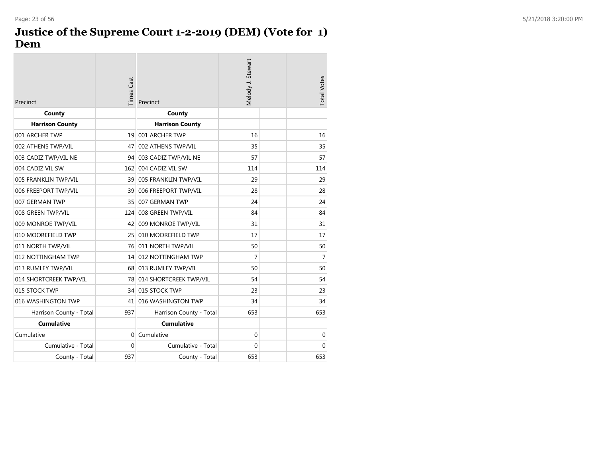#### **Justice of the Supreme Court 1-2-2019 (DEM) (Vote for 1) Dem**

m.

| Precinct                | <b>Times Cast</b> | Precinct                  | Melody J. Stewart | <b>Total Votes</b> |
|-------------------------|-------------------|---------------------------|-------------------|--------------------|
| County                  |                   | County                    |                   |                    |
| <b>Harrison County</b>  |                   | <b>Harrison County</b>    |                   |                    |
| 001 ARCHER TWP          | 19                | 001 ARCHER TWP            | 16                | 16                 |
| 002 ATHENS TWP/VIL      | 47                | 002 ATHENS TWP/VIL        | 35                | 35                 |
| 003 CADIZ TWP/VIL NE    |                   | 94 003 CADIZ TWP/VIL NE   | 57                | 57                 |
| 004 CADIZ VIL SW        |                   | 162 004 CADIZ VIL SW      | 114               | 114                |
| 005 FRANKLIN TWP/VIL    |                   | 39 005 FRANKLIN TWP/VIL   | 29                | 29                 |
| 006 FREEPORT TWP/VIL    | 39                | 006 FREEPORT TWP/VIL      | 28                | 28                 |
| 007 GERMAN TWP          | 35                | 007 GERMAN TWP            | 24                | 24                 |
| 008 GREEN TWP/VIL       | 124               | 008 GREEN TWP/VIL         | 84                | 84                 |
| 009 MONROE TWP/VIL      | 42                | 009 MONROE TWP/VIL        | 31                | 31                 |
| 010 MOOREFIELD TWP      | 25 <sup>1</sup>   | 010 MOOREFIELD TWP        | 17                | 17                 |
| 011 NORTH TWP/VIL       |                   | 76 011 NORTH TWP/VIL      | 50                | 50                 |
| 012 NOTTINGHAM TWP      |                   | 14 012 NOTTINGHAM TWP     | 7                 | 7                  |
| 013 RUMLEY TWP/VIL      |                   | 68 013 RUMLEY TWP/VIL     | 50                | 50                 |
| 014 SHORTCREEK TWP/VIL  |                   | 78 014 SHORTCREEK TWP/VIL | 54                | 54                 |
| 015 STOCK TWP           |                   | 34 015 STOCK TWP          | 23                | 23                 |
| 016 WASHINGTON TWP      | 41                | 016 WASHINGTON TWP        | 34                | 34                 |
| Harrison County - Total | 937               | Harrison County - Total   | 653               | 653                |
| Cumulative              |                   | <b>Cumulative</b>         |                   |                    |
| Cumulative              | $\Omega$          | Cumulative                | 0                 | $\mathbf 0$        |
| Cumulative - Total      | $\Omega$          | Cumulative - Total        | $\Omega$          | $\mathbf 0$        |
| County - Total          | 937               | County - Total            | 653               | 653                |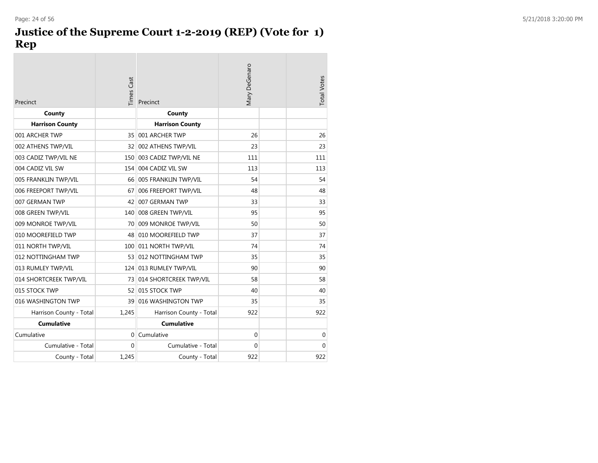## **Justice of the Supreme Court 1-2-2019 (REP) (Vote for 1) Rep**

| Precinct                | Times Cast | Precinct                  | <b>Mary DeGenaro</b> | <b>Total Votes</b> |
|-------------------------|------------|---------------------------|----------------------|--------------------|
| County                  |            | County                    |                      |                    |
| <b>Harrison County</b>  |            | <b>Harrison County</b>    |                      |                    |
| 001 ARCHER TWP          | 35         | 001 ARCHER TWP            | 26                   | 26                 |
| 002 ATHENS TWP/VIL      | 32         | 002 ATHENS TWP/VIL        | 23                   | 23                 |
| 003 CADIZ TWP/VIL NE    | 150        | 003 CADIZ TWP/VIL NE      | 111                  | 111                |
| 004 CADIZ VIL SW        | 154        | 004 CADIZ VIL SW          | 113                  | 113                |
| 005 FRANKLIN TWP/VIL    |            | 66 005 FRANKLIN TWP/VIL   | 54                   | 54                 |
| 006 FREEPORT TWP/VIL    | 67         | 006 FREEPORT TWP/VIL      | 48                   | 48                 |
| 007 GERMAN TWP          | 42         | 007 GERMAN TWP            | 33                   | 33                 |
| 008 GREEN TWP/VIL       |            | 140 008 GREEN TWP/VIL     | 95                   | 95                 |
| 009 MONROE TWP/VIL      | 70         | 009 MONROE TWP/VIL        | 50                   | 50                 |
| 010 MOOREFIELD TWP      | 48         | 010 MOOREFIELD TWP        | 37                   | 37                 |
| 011 NORTH TWP/VIL       | 100        | 011 NORTH TWP/VIL         | 74                   | 74                 |
| 012 NOTTINGHAM TWP      |            | 53 012 NOTTINGHAM TWP     | 35                   | 35                 |
| 013 RUMLEY TWP/VIL      | 124        | 013 RUMLEY TWP/VIL        | 90                   | 90                 |
| 014 SHORTCREEK TWP/VIL  |            | 73 014 SHORTCREEK TWP/VIL | 58                   | 58                 |
| 015 STOCK TWP           |            | 52 015 STOCK TWP          | 40                   | 40                 |
| 016 WASHINGTON TWP      | 39         | 016 WASHINGTON TWP        | 35                   | 35                 |
| Harrison County - Total | 1,245      | Harrison County - Total   | 922                  | 922                |
| <b>Cumulative</b>       |            | <b>Cumulative</b>         |                      |                    |
| Cumulative              | $\Omega$   | Cumulative                | $\mathbf{0}$         | 0                  |
| Cumulative - Total      | $\Omega$   | Cumulative - Total        | $\Omega$             | $\mathbf{0}$       |
| County - Total          | 1.245      | County - Total            | 922                  | 922                |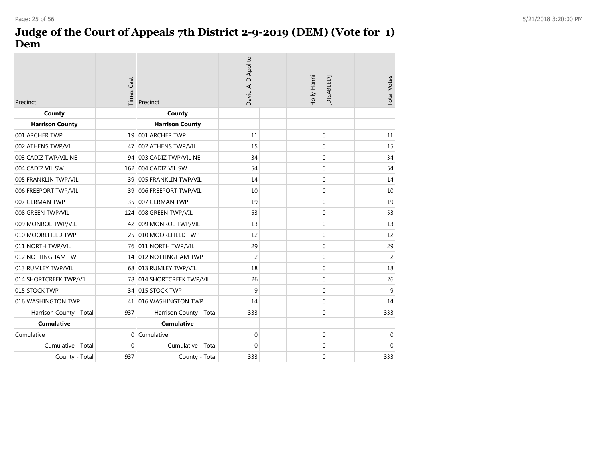## **Judge of the Court of Appeals 7th District 2-9-2019 (DEM) (Vote for 1) Dem**

| Precinct                | <b>Times Cast</b> | Precinct                  | David A. D'Apolito | Holly Hanni      | [DISABLED] | <b>Total Votes</b> |
|-------------------------|-------------------|---------------------------|--------------------|------------------|------------|--------------------|
| County                  |                   | County                    |                    |                  |            |                    |
| <b>Harrison County</b>  |                   | <b>Harrison County</b>    |                    |                  |            |                    |
| 001 ARCHER TWP          |                   | 19 001 ARCHER TWP         | 11                 | $\mathbf 0$      |            | 11                 |
| 002 ATHENS TWP/VIL      | 47                | 002 ATHENS TWP/VIL        | 15                 | 0                |            | 15                 |
| 003 CADIZ TWP/VIL NE    |                   | 94 003 CADIZ TWP/VIL NE   | 34                 | 0                |            | 34                 |
| 004 CADIZ VIL SW        |                   | 162 004 CADIZ VIL SW      | 54                 | 0                |            | 54                 |
| 005 FRANKLIN TWP/VIL    | 39                | 005 FRANKLIN TWP/VIL      | 14                 | $\mathbf 0$      |            | 14                 |
| 006 FREEPORT TWP/VIL    |                   | 39 006 FREEPORT TWP/VIL   | 10                 | 0                |            | 10                 |
| 007 GERMAN TWP          |                   | 35 007 GERMAN TWP         | 19                 | $\mathbf 0$      |            | 19                 |
| 008 GREEN TWP/VIL       |                   | 124 008 GREEN TWP/VIL     | 53                 | 0                |            | 53                 |
| 009 MONROE TWP/VIL      | 42                | 009 MONROE TWP/VIL        | 13                 | $\mathbf 0$      |            | 13                 |
| 010 MOOREFIELD TWP      |                   | 25 010 MOOREFIELD TWP     | 12                 | 0                |            | 12                 |
| 011 NORTH TWP/VIL       |                   | 76 011 NORTH TWP/VIL      | 29                 | $\mathbf 0$      |            | 29                 |
| 012 NOTTINGHAM TWP      |                   | 14 012 NOTTINGHAM TWP     | 2                  | 0                |            | $\overline{2}$     |
| 013 RUMLEY TWP/VIL      |                   | 68 013 RUMLEY TWP/VIL     | 18                 | $\boldsymbol{0}$ |            | 18                 |
| 014 SHORTCREEK TWP/VIL  |                   | 78 014 SHORTCREEK TWP/VIL | 26                 | 0                |            | 26                 |
| 015 STOCK TWP           |                   | 34 015 STOCK TWP          | 9                  | 0                |            | 9                  |
| 016 WASHINGTON TWP      | 41                | 016 WASHINGTON TWP        | 14                 | 0                |            | 14                 |
| Harrison County - Total | 937               | Harrison County - Total   | 333                | $\boldsymbol{0}$ |            | 333                |
| <b>Cumulative</b>       |                   | <b>Cumulative</b>         |                    |                  |            |                    |
| Cumulative              | $\overline{0}$    | Cumulative                | $\mathbf 0$        | 0                |            | $\mathbf 0$        |
| Cumulative - Total      | 0                 | Cumulative - Total        | $\mathbf 0$        | 0                |            | $\mathbf{0}$       |
| County - Total          | 937               | County - Total            | 333                | 0                |            | 333                |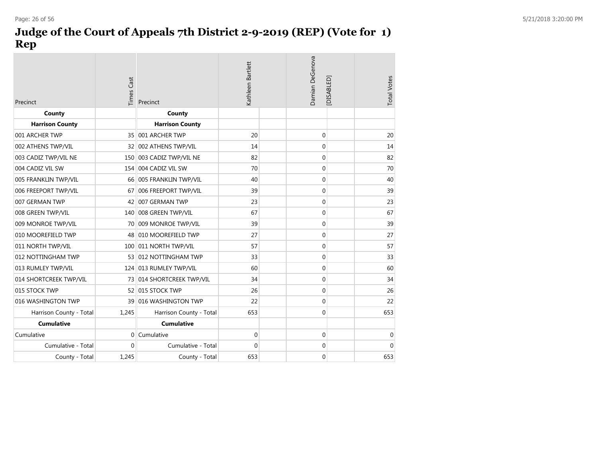## **Judge of the Court of Appeals 7th District 2-9-2019 (REP) (Vote for 1) Rep**

| Precinct                | <b>Times Cast</b> | Precinct                  | Kathleen Bartlett | Damian DeGenova | <b>Total Votes</b><br>[DISABLED] |
|-------------------------|-------------------|---------------------------|-------------------|-----------------|----------------------------------|
| County                  |                   | County                    |                   |                 |                                  |
| <b>Harrison County</b>  |                   | <b>Harrison County</b>    |                   |                 |                                  |
| 001 ARCHER TWP          |                   | 35 001 ARCHER TWP         | 20                | $\mathbf 0$     | 20                               |
| 002 ATHENS TWP/VIL      |                   | 32 002 ATHENS TWP/VIL     | 14                | $\mathbf 0$     | 14                               |
| 003 CADIZ TWP/VIL NE    |                   | 150 003 CADIZ TWP/VIL NE  | 82                | $\mathbf 0$     | 82                               |
| 004 CADIZ VIL SW        |                   | 154 004 CADIZ VIL SW      | 70                | $\mathbf 0$     | 70                               |
| 005 FRANKLIN TWP/VIL    |                   | 66 005 FRANKLIN TWP/VIL   | 40                | $\mathbf 0$     | 40                               |
| 006 FREEPORT TWP/VIL    | 67                | 006 FREEPORT TWP/VIL      | 39                | $\mathbf 0$     | 39                               |
| 007 GERMAN TWP          |                   | 42 007 GERMAN TWP         | 23                | $\mathbf 0$     | 23                               |
| 008 GREEN TWP/VIL       |                   | 140 008 GREEN TWP/VIL     | 67                | $\mathbf 0$     | 67                               |
| 009 MONROE TWP/VIL      |                   | 70 009 MONROE TWP/VIL     | 39                | $\mathbf 0$     | 39                               |
| 010 MOOREFIELD TWP      |                   | 48 010 MOOREFIELD TWP     | 27                | $\mathbf 0$     | 27                               |
| 011 NORTH TWP/VIL       |                   | 100 011 NORTH TWP/VIL     | 57                | $\mathbf 0$     | 57                               |
| 012 NOTTINGHAM TWP      |                   | 53 012 NOTTINGHAM TWP     | 33                | $\mathbf 0$     | 33                               |
| 013 RUMLEY TWP/VIL      |                   | 124 013 RUMLEY TWP/VIL    | 60                | $\mathbf 0$     | 60                               |
| 014 SHORTCREEK TWP/VIL  |                   | 73 014 SHORTCREEK TWP/VIL | 34                | $\mathbf 0$     | 34                               |
| 015 STOCK TWP           |                   | 52 015 STOCK TWP          | 26                | $\mathbf 0$     | 26                               |
| 016 WASHINGTON TWP      |                   | 39 016 WASHINGTON TWP     | 22                | $\mathbf 0$     | 22                               |
| Harrison County - Total | 1,245             | Harrison County - Total   | 653               | $\mathbf 0$     | 653                              |
| <b>Cumulative</b>       |                   | <b>Cumulative</b>         |                   |                 |                                  |
| Cumulative              |                   | 0 Cumulative              | 0                 | $\mathbf 0$     | $\mathbf 0$                      |
| Cumulative - Total      | $\Omega$          | Cumulative - Total        | $\Omega$          | $\mathbf 0$     | $\Omega$                         |
| County - Total          | 1,245             | County - Total            | 653               | $\mathbf 0$     | 653                              |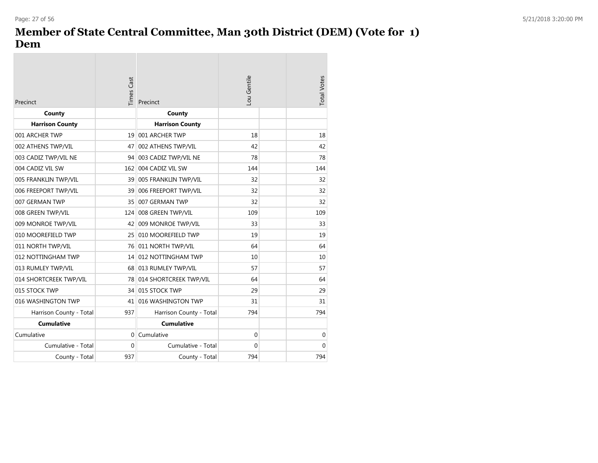$\sim$ 

#### **Member of State Central Committee, Man 30th District (DEM) (Vote for 1) Dem**

 $\sim$ 

| Precinct                | <b>Times Cast</b> | Precinct                  | Lou Gentile  | <b>Total Votes</b> |
|-------------------------|-------------------|---------------------------|--------------|--------------------|
| County                  |                   | County                    |              |                    |
| <b>Harrison County</b>  |                   | <b>Harrison County</b>    |              |                    |
| 001 ARCHER TWP          |                   | 19 001 ARCHER TWP         | 18           | 18                 |
| 002 ATHENS TWP/VIL      | 47                | 002 ATHENS TWP/VIL        | 42           | 42                 |
| 003 CADIZ TWP/VIL NE    | 94                | 003 CADIZ TWP/VIL NE      | 78           | 78                 |
| 004 CADIZ VIL SW        | 162               | 004 CADIZ VIL SW          | 144          | 144                |
| 005 FRANKLIN TWP/VIL    |                   | 39 005 FRANKLIN TWP/VIL   | 32           | 32                 |
| 006 FREEPORT TWP/VIL    | 39                | 006 FREEPORT TWP/VIL      | 32           | 32                 |
| 007 GERMAN TWP          | 35                | 007 GERMAN TWP            | 32           | 32                 |
| 008 GREEN TWP/VIL       | 124               | 008 GREEN TWP/VIL         | 109          | 109                |
| 009 MONROE TWP/VIL      |                   | 42 009 MONROE TWP/VIL     | 33           | 33                 |
| 010 MOOREFIELD TWP      | 25                | 010 MOOREFIELD TWP        | 19           | 19                 |
| 011 NORTH TWP/VIL       |                   | 76 011 NORTH TWP/VIL      | 64           | 64                 |
| 012 NOTTINGHAM TWP      |                   | 14 012 NOTTINGHAM TWP     | 10           | 10                 |
| 013 RUMLEY TWP/VIL      |                   | 68 013 RUMLEY TWP/VIL     | 57           | 57                 |
| 014 SHORTCREEK TWP/VIL  |                   | 78 014 SHORTCREEK TWP/VIL | 64           | 64                 |
| 015 STOCK TWP           |                   | 34 015 STOCK TWP          | 29           | 29                 |
| 016 WASHINGTON TWP      | 41                | 016 WASHINGTON TWP        | 31           | 31                 |
| Harrison County - Total | 937               | Harrison County - Total   | 794          | 794                |
| <b>Cumulative</b>       |                   | <b>Cumulative</b>         |              |                    |
| Cumulative              | $\Omega$          | Cumulative                | $\mathbf{0}$ | $\mathbf{0}$       |
| Cumulative - Total      | $\Omega$          | Cumulative - Total        | $\Omega$     | $\Omega$           |
| County - Total          | 937               | County - Total            | 794          | 794                |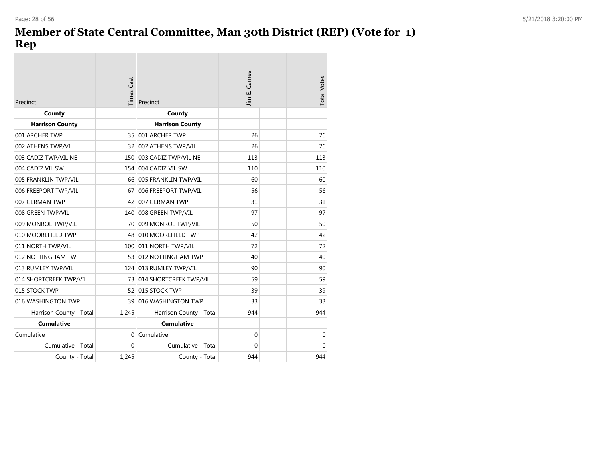#### **Member of State Central Committee, Man 30th District (REP) (Vote for 1) Rep**  $\sim$

| Precinct                | <b>Times Cast</b> | Precinct                  | Carnes<br>ШÌ<br>Jim | <b>Total Votes</b> |
|-------------------------|-------------------|---------------------------|---------------------|--------------------|
| County                  |                   | County                    |                     |                    |
| <b>Harrison County</b>  |                   | <b>Harrison County</b>    |                     |                    |
| 001 ARCHER TWP          | 35 <sup>1</sup>   | 001 ARCHER TWP            | 26                  | 26                 |
| 002 ATHENS TWP/VIL      |                   | 32 002 ATHENS TWP/VIL     | 26                  | 26                 |
| 003 CADIZ TWP/VIL NE    | 150               | 003 CADIZ TWP/VIL NE      | 113                 | 113                |
| 004 CADIZ VIL SW        | 154               | 004 CADIZ VIL SW          | 110                 | 110                |
| 005 FRANKLIN TWP/VIL    |                   | 66 005 FRANKLIN TWP/VIL   | 60                  | 60                 |
| 006 FREEPORT TWP/VIL    | 67                | 006 FREEPORT TWP/VIL      | 56                  | 56                 |
| 007 GERMAN TWP          | 42                | 007 GERMAN TWP            | 31                  | 31                 |
| 008 GREEN TWP/VIL       | 140               | 008 GREEN TWP/VIL         | 97                  | 97                 |
| 009 MONROE TWP/VIL      |                   | 70 009 MONROE TWP/VIL     | 50                  | 50                 |
| 010 MOOREFIELD TWP      |                   | 48 010 MOOREFIELD TWP     | 42                  | 42                 |
| 011 NORTH TWP/VIL       |                   | 100 011 NORTH TWP/VIL     | 72                  | 72                 |
| 012 NOTTINGHAM TWP      |                   | 53 012 NOTTINGHAM TWP     | 40                  | 40                 |
| 013 RUMLEY TWP/VIL      |                   | 124 013 RUMLEY TWP/VIL    | 90                  | 90                 |
| 014 SHORTCREEK TWP/VIL  |                   | 73 014 SHORTCREEK TWP/VIL | 59                  | 59                 |
| 015 STOCK TWP           |                   | 52 015 STOCK TWP          | 39                  | 39                 |
| 016 WASHINGTON TWP      | 39                | 016 WASHINGTON TWP        | 33                  | 33                 |
| Harrison County - Total | 1,245             | Harrison County - Total   | 944                 | 944                |
| <b>Cumulative</b>       |                   | <b>Cumulative</b>         |                     |                    |
| Cumulative              | $\Omega$          | Cumulative                | 0                   | $\mathbf 0$        |
| Cumulative - Total      | $\Omega$          | Cumulative - Total        | $\Omega$            | $\Omega$           |
| County - Total          | 1,245             | County - Total            | 944                 | 944                |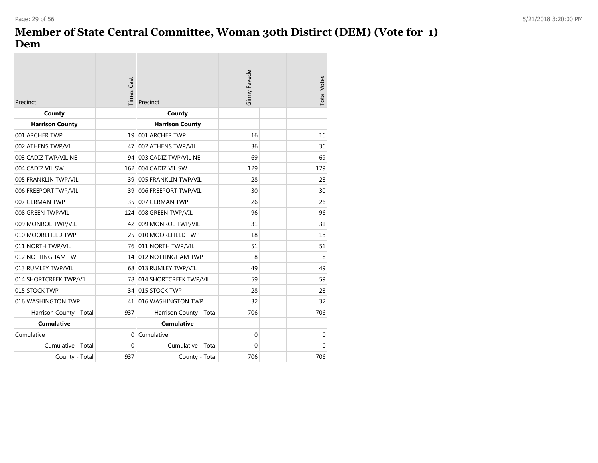#### **Member of State Central Committee, Woman 30th Distirct (DEM) (Vote for 1) Dem**

 $\sim$ 

| Precinct                | <b>Times Cast</b> | Precinct                  | <b>Ginny Favede</b> | <b>Total Votes</b> |
|-------------------------|-------------------|---------------------------|---------------------|--------------------|
| County                  |                   | County                    |                     |                    |
| <b>Harrison County</b>  |                   | <b>Harrison County</b>    |                     |                    |
| 001 ARCHER TWP          | 19                | 001 ARCHER TWP            | 16                  | 16                 |
| 002 ATHENS TWP/VIL      | 47                | 002 ATHENS TWP/VIL        | 36                  | 36                 |
| 003 CADIZ TWP/VIL NE    |                   | 94 003 CADIZ TWP/VIL NE   | 69                  | 69                 |
| 004 CADIZ VIL SW        |                   | 162 004 CADIZ VIL SW      | 129                 | 129                |
| 005 FRANKLIN TWP/VIL    |                   | 39 005 FRANKLIN TWP/VIL   | 28                  | 28                 |
| 006 FREEPORT TWP/VIL    | 39                | 006 FREEPORT TWP/VIL      | 30                  | 30                 |
| 007 GERMAN TWP          | 35 <sup>1</sup>   | 007 GERMAN TWP            | 26                  | 26                 |
| 008 GREEN TWP/VIL       | 124               | 008 GREEN TWP/VIL         | 96                  | 96                 |
| 009 MONROE TWP/VIL      | 42                | 009 MONROE TWP/VIL        | 31                  | 31                 |
| 010 MOOREFIELD TWP      | 25                | 010 MOOREFIELD TWP        | 18                  | 18                 |
| 011 NORTH TWP/VIL       |                   | 76 011 NORTH TWP/VIL      | 51                  | 51                 |
| 012 NOTTINGHAM TWP      |                   | 14 012 NOTTINGHAM TWP     | 8                   | 8                  |
| 013 RUMLEY TWP/VIL      |                   | 68 013 RUMLEY TWP/VIL     | 49                  | 49                 |
| 014 SHORTCREEK TWP/VIL  |                   | 78 014 SHORTCREEK TWP/VIL | 59                  | 59                 |
| 015 STOCK TWP           |                   | 34 015 STOCK TWP          | 28                  | 28                 |
| 016 WASHINGTON TWP      | 41                | 016 WASHINGTON TWP        | 32                  | 32                 |
| Harrison County - Total | 937               | Harrison County - Total   | 706                 | 706                |
| <b>Cumulative</b>       |                   | <b>Cumulative</b>         |                     |                    |
| Cumulative              | $\Omega$          | Cumulative                | $\mathbf 0$         | $\mathbf 0$        |
| Cumulative - Total      | $\Omega$          | Cumulative - Total        | 0                   | $\Omega$           |
| County - Total          | 937               | County - Total            | 706                 | 706                |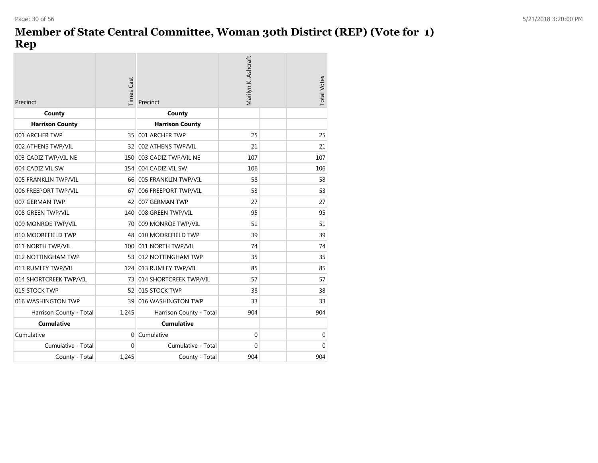## **Member of State Central Committee, Woman 30th Distirct (REP) (Vote for 1) Rep**

| Precinct                | <b>Times Cast</b> | Precinct                  | Marilyn K. Ashcraft | <b>Total Votes</b> |
|-------------------------|-------------------|---------------------------|---------------------|--------------------|
| County                  |                   | County                    |                     |                    |
| <b>Harrison County</b>  |                   | <b>Harrison County</b>    |                     |                    |
| 001 ARCHER TWP          | 35 <sup>1</sup>   | 001 ARCHER TWP            | 25                  | 25                 |
| 002 ATHENS TWP/VIL      | 32 <sup>2</sup>   | 002 ATHENS TWP/VIL        | 21                  | 21                 |
| 003 CADIZ TWP/VIL NE    | 150               | 003 CADIZ TWP/VIL NE      | 107                 | 107                |
| 004 CADIZ VIL SW        | 154               | 004 CADIZ VIL SW          | 106                 | 106                |
| 005 FRANKLIN TWP/VIL    |                   | 66 005 FRANKLIN TWP/VIL   | 58                  | 58                 |
| 006 FREEPORT TWP/VIL    | 67                | 006 FREEPORT TWP/VIL      | 53                  | 53                 |
| 007 GERMAN TWP          | 42                | 007 GERMAN TWP            | 27                  | 27                 |
| 008 GREEN TWP/VIL       |                   | 140 008 GREEN TWP/VIL     | 95                  | 95                 |
| 009 MONROE TWP/VIL      | 70.               | 009 MONROE TWP/VIL        | 51                  | 51                 |
| 010 MOOREFIELD TWP      | 48                | 010 MOOREFIELD TWP        | 39                  | 39                 |
| 011 NORTH TWP/VIL       |                   | 100 011 NORTH TWP/VIL     | 74                  | 74                 |
| 012 NOTTINGHAM TWP      |                   | 53 012 NOTTINGHAM TWP     | 35                  | 35                 |
| 013 RUMLEY TWP/VIL      |                   | 124 013 RUMLEY TWP/VIL    | 85                  | 85                 |
| 014 SHORTCREEK TWP/VIL  |                   | 73 014 SHORTCREEK TWP/VIL | 57                  | 57                 |
| 015 STOCK TWP           |                   | 52 015 STOCK TWP          | 38                  | 38                 |
| 016 WASHINGTON TWP      |                   | 39 016 WASHINGTON TWP     | 33                  | 33                 |
| Harrison County - Total | 1,245             | Harrison County - Total   | 904                 | 904                |
| <b>Cumulative</b>       |                   | <b>Cumulative</b>         |                     |                    |
| Cumulative              | $\Omega$          | Cumulative                | $\mathbf 0$         | $\mathbf{0}$       |
| Cumulative - Total      | $\Omega$          | Cumulative - Total        | 0                   | $\Omega$           |
| County - Total          | 1,245             | County - Total            | 904                 | 904                |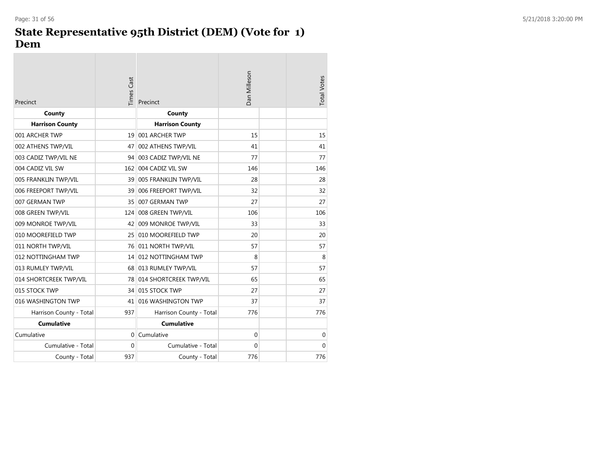$\sim$ 

#### **State Representative 95th District (DEM) (Vote for 1) Dem**

| Precinct                | <b>Times Cast</b> | Precinct                  | Dan Milleson | <b>Total Votes</b> |
|-------------------------|-------------------|---------------------------|--------------|--------------------|
| County                  |                   | County                    |              |                    |
| <b>Harrison County</b>  |                   | <b>Harrison County</b>    |              |                    |
| 001 ARCHER TWP          | 19                | 001 ARCHER TWP            | 15           | 15                 |
| 002 ATHENS TWP/VIL      | 47                | 002 ATHENS TWP/VIL        | 41           | 41                 |
| 003 CADIZ TWP/VIL NE    | 94                | 003 CADIZ TWP/VIL NE      | 77           | 77                 |
| 004 CADIZ VIL SW        | 162               | 004 CADIZ VIL SW          | 146          | 146                |
| 005 FRANKLIN TWP/VIL    |                   | 39 005 FRANKLIN TWP/VIL   | 28           | 28                 |
| 006 FREEPORT TWP/VIL    |                   | 39 006 FREEPORT TWP/VIL   | 32           | 32                 |
| 007 GERMAN TWP          | 35                | 007 GERMAN TWP            | 27           | 27                 |
| 008 GREEN TWP/VIL       | 124               | 008 GREEN TWP/VIL         | 106          | 106                |
| 009 MONROE TWP/VIL      | 42                | 009 MONROE TWP/VIL        | 33           | 33                 |
| 010 MOOREFIELD TWP      | 25                | 010 MOOREFIELD TWP        | 20           | 20                 |
| 011 NORTH TWP/VIL       |                   | 76 011 NORTH TWP/VIL      | 57           | 57                 |
| 012 NOTTINGHAM TWP      |                   | 14 012 NOTTINGHAM TWP     | 8            | 8                  |
| 013 RUMLEY TWP/VIL      |                   | 68 013 RUMLEY TWP/VIL     | 57           | 57                 |
| 014 SHORTCREEK TWP/VIL  |                   | 78 014 SHORTCREEK TWP/VIL | 65           | 65                 |
| 015 STOCK TWP           |                   | 34 015 STOCK TWP          | 27           | 27                 |
| 016 WASHINGTON TWP      | 41                | 016 WASHINGTON TWP        | 37           | 37                 |
| Harrison County - Total | 937               | Harrison County - Total   | 776          | 776                |
| <b>Cumulative</b>       |                   | <b>Cumulative</b>         |              |                    |
| Cumulative              | $\Omega$          | Cumulative                | $\mathbf{0}$ | 0                  |
| Cumulative - Total      | $\Omega$          | Cumulative - Total        | $\mathbf{0}$ | 0                  |
| County - Total          | 937               | County - Total            | 776          | 776                |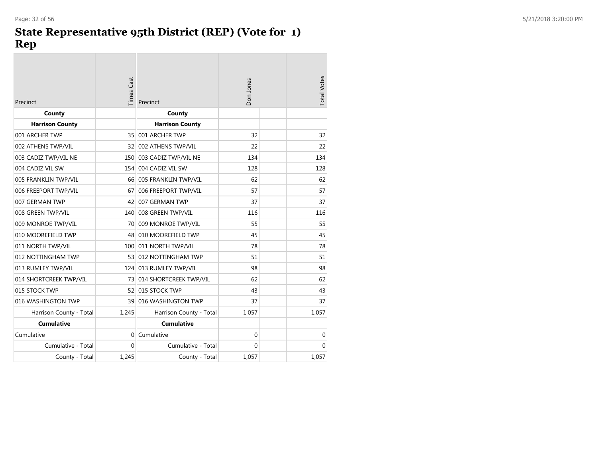## **State Representative 95th District (REP) (Vote for 1) Rep**

| Precinct                | Times Cast | Precinct                | Don Jones | <b>Total Votes</b> |
|-------------------------|------------|-------------------------|-----------|--------------------|
| County                  |            | County                  |           |                    |
| <b>Harrison County</b>  |            | <b>Harrison County</b>  |           |                    |
| 001 ARCHER TWP          | 35         | 001 ARCHER TWP          | 32        | 32                 |
| 002 ATHENS TWP/VIL      | 32         | 002 ATHENS TWP/VIL      | 22        | 22                 |
| 003 CADIZ TWP/VIL NE    | 150        | 003 CADIZ TWP/VIL NE    | 134       | 134                |
| 004 CADIZ VIL SW        | 154        | 004 CADIZ VIL SW        | 128       | 128                |
| 005 FRANKLIN TWP/VIL    |            | 66 005 FRANKLIN TWP/VIL | 62        | 62                 |
| 006 FREEPORT TWP/VIL    | 67         | 006 FREEPORT TWP/VIL    | 57        | 57                 |
| 007 GERMAN TWP          | 42         | 007 GERMAN TWP          | 37        | 37                 |
| 008 GREEN TWP/VIL       | 140        | 008 GREEN TWP/VIL       | 116       | 116                |
| 009 MONROE TWP/VIL      | 70         | 009 MONROE TWP/VIL      | 55        | 55                 |
| 010 MOOREFIELD TWP      | 48         | 010 MOOREFIELD TWP      | 45        | 45                 |
| 011 NORTH TWP/VIL       |            | 100 011 NORTH TWP/VIL   | 78        | 78                 |
| 012 NOTTINGHAM TWP      |            | 53 012 NOTTINGHAM TWP   | 51        | 51                 |
| 013 RUMLEY TWP/VIL      |            | 124 013 RUMLEY TWP/VIL  | 98        | 98                 |
| 014 SHORTCREEK TWP/VIL  | 73         | 014 SHORTCREEK TWP/VIL  | 62        | 62                 |
| 015 STOCK TWP           | 52         | 015 STOCK TWP           | 43        | 43                 |
| 016 WASHINGTON TWP      | 39         | 016 WASHINGTON TWP      | 37        | 37                 |
| Harrison County - Total | 1,245      | Harrison County - Total | 1,057     | 1,057              |
| <b>Cumulative</b>       |            | <b>Cumulative</b>       |           |                    |
| Cumulative              | $\Omega$   | Cumulative              | $\Omega$  | $\mathbf 0$        |
| Cumulative - Total      | $\Omega$   | Cumulative - Total      | $\Omega$  | $\Omega$           |
| County - Total          | 1,245      | County - Total          | 1,057     | 1,057              |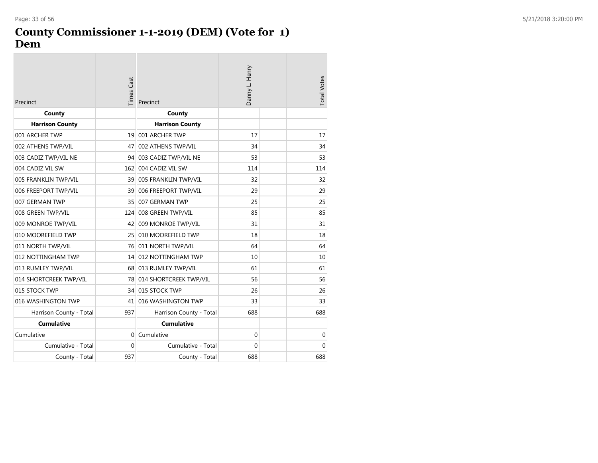#### **County Commissioner 1-1-2019 (DEM) (Vote for 1) Dem**

| Precinct                | Times Cast | Precinct                  | Danny L. Henry | <b>Total Votes</b> |
|-------------------------|------------|---------------------------|----------------|--------------------|
| County                  |            | County                    |                |                    |
| <b>Harrison County</b>  |            | <b>Harrison County</b>    |                |                    |
| 001 ARCHER TWP          | 19         | 001 ARCHER TWP            | 17             | 17                 |
| 002 ATHENS TWP/VIL      | 47         | 002 ATHENS TWP/VIL        | 34             | 34                 |
| 003 CADIZ TWP/VIL NE    |            | 94 003 CADIZ TWP/VIL NE   | 53             | 53                 |
| 004 CADIZ VIL SW        | 162        | 004 CADIZ VIL SW          | 114            | 114                |
| 005 FRANKLIN TWP/VIL    |            | 39 005 FRANKLIN TWP/VIL   | 32             | 32                 |
| 006 FREEPORT TWP/VIL    | 39         | 006 FREEPORT TWP/VIL      | 29             | 29                 |
| 007 GERMAN TWP          | 35         | 007 GERMAN TWP            | 25             | 25                 |
| 008 GREEN TWP/VIL       | 124        | 008 GREEN TWP/VIL         | 85             | 85                 |
| 009 MONROE TWP/VIL      |            | 42 009 MONROE TWP/VIL     | 31             | 31                 |
| 010 MOOREFIELD TWP      | 25         | 010 MOOREFIELD TWP        | 18             | 18                 |
| 011 NORTH TWP/VIL       |            | 76 011 NORTH TWP/VIL      | 64             | 64                 |
| 012 NOTTINGHAM TWP      |            | 14 012 NOTTINGHAM TWP     | 10             | 10                 |
| 013 RUMLEY TWP/VIL      |            | 68 013 RUMLEY TWP/VIL     | 61             | 61                 |
| 014 SHORTCREEK TWP/VIL  |            | 78 014 SHORTCREEK TWP/VIL | 56             | 56                 |
| 015 STOCK TWP           |            | 34 015 STOCK TWP          | 26             | 26                 |
| 016 WASHINGTON TWP      | 41         | 016 WASHINGTON TWP        | 33             | 33                 |
| Harrison County - Total | 937        | Harrison County - Total   | 688            | 688                |
| <b>Cumulative</b>       |            | <b>Cumulative</b>         |                |                    |
| Cumulative              | $\Omega$   | Cumulative                | $\mathbf 0$    | 0                  |
| Cumulative - Total      | $\Omega$   | Cumulative - Total        | $\mathbf 0$    | $\mathbf 0$        |
| County - Total          | 937        | County - Total            | 688            | 688                |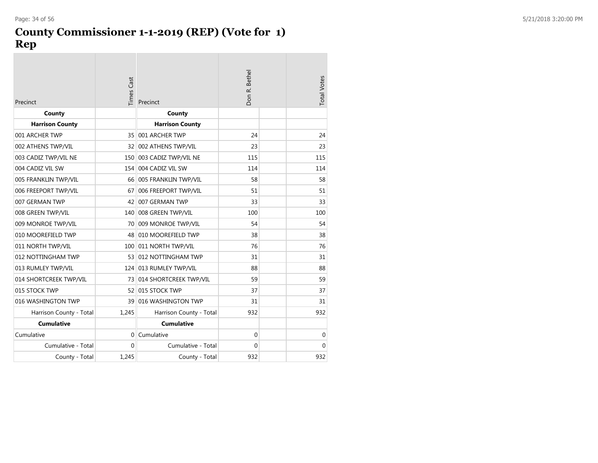## **County Commissioner 1-1-2019 (REP) (Vote for 1) Rep**

| Precinct                | Times Cast | Precinct                | Don R. Bethel | <b>Total Votes</b> |
|-------------------------|------------|-------------------------|---------------|--------------------|
| County                  |            | County                  |               |                    |
| <b>Harrison County</b>  |            | <b>Harrison County</b>  |               |                    |
| 001 ARCHER TWP          | 35         | 001 ARCHER TWP          | 24            | 24                 |
| 002 ATHENS TWP/VIL      | 32         | 002 ATHENS TWP/VIL      | 23            | 23                 |
| 003 CADIZ TWP/VIL NE    | 150        | 003 CADIZ TWP/VIL NE    | 115           | 115                |
| 004 CADIZ VIL SW        | 154        | 004 CADIZ VIL SW        | 114           | 114                |
| 005 FRANKLIN TWP/VIL    |            | 66 005 FRANKLIN TWP/VIL | 58            | 58                 |
| 006 FREEPORT TWP/VIL    | 67         | 006 FREEPORT TWP/VIL    | 51            | 51                 |
| 007 GERMAN TWP          | 42         | 007 GERMAN TWP          | 33            | 33                 |
| 008 GREEN TWP/VIL       | 140        | 008 GREEN TWP/VIL       | 100           | 100                |
| 009 MONROE TWP/VIL      | 70         | 009 MONROE TWP/VIL      | 54            | 54                 |
| 010 MOOREFIELD TWP      | 48         | 010 MOOREFIELD TWP      | 38            | 38                 |
| 011 NORTH TWP/VIL       |            | 100 011 NORTH TWP/VIL   | 76            | 76                 |
| 012 NOTTINGHAM TWP      |            | 53 012 NOTTINGHAM TWP   | 31            | 31                 |
| 013 RUMLEY TWP/VIL      |            | 124 013 RUMLEY TWP/VIL  | 88            | 88                 |
| 014 SHORTCREEK TWP/VIL  | 73         | 014 SHORTCREEK TWP/VIL  | 59            | 59                 |
| 015 STOCK TWP           | 52         | 015 STOCK TWP           | 37            | 37                 |
| 016 WASHINGTON TWP      | 39         | 016 WASHINGTON TWP      | 31            | 31                 |
| Harrison County - Total | 1,245      | Harrison County - Total | 932           | 932                |
| <b>Cumulative</b>       |            | <b>Cumulative</b>       |               |                    |
| Cumulative              | $\Omega$   | Cumulative              | $\mathbf{0}$  | 0                  |
| Cumulative - Total      | $\Omega$   | Cumulative - Total      | $\mathbf 0$   | $\mathbf 0$        |
| County - Total          | 1,245      | County - Total          | 932           | 932                |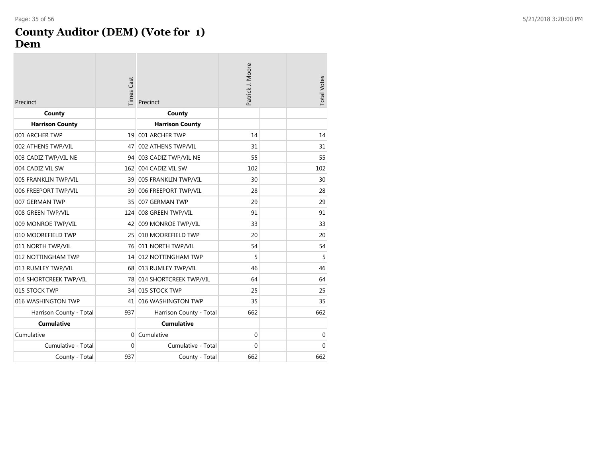#### **County Auditor (DEM) (Vote for 1 ) Dem**

| Precinct                | <b>Times Cast</b> | Precinct                  | Patrick J. Moore | <b>Total Votes</b> |
|-------------------------|-------------------|---------------------------|------------------|--------------------|
| County                  |                   | County                    |                  |                    |
| <b>Harrison County</b>  |                   | <b>Harrison County</b>    |                  |                    |
| 001 ARCHER TWP          | 19                | 001 ARCHER TWP            | 14               | 14                 |
| 002 ATHENS TWP/VIL      | 47                | 002 ATHENS TWP/VIL        | 31               | 31                 |
| 003 CADIZ TWP/VIL NE    | 94                | 003 CADIZ TWP/VIL NE      | 55               | 55                 |
| 004 CADIZ VIL SW        | 162               | 004 CADIZ VIL SW          | 102              | 102                |
| 005 FRANKLIN TWP/VIL    |                   | 39 005 FRANKLIN TWP/VIL   | 30               | 30                 |
| 006 FREEPORT TWP/VIL    | 39                | 006 FREEPORT TWP/VIL      | 28               | 28                 |
| 007 GERMAN TWP          | 35                | 007 GERMAN TWP            | 29               | 29                 |
| 008 GREEN TWP/VIL       | 124               | 008 GREEN TWP/VIL         | 91               | 91                 |
| 009 MONROE TWP/VIL      | 42                | 009 MONROE TWP/VIL        | 33               | 33                 |
| 010 MOOREFIELD TWP      | 25                | 010 MOOREFIELD TWP        | 20               | 20                 |
| 011 NORTH TWP/VIL       |                   | 76 011 NORTH TWP/VIL      | 54               | 54                 |
| 012 NOTTINGHAM TWP      |                   | 14 012 NOTTINGHAM TWP     | 5                | 5                  |
| 013 RUMLEY TWP/VIL      |                   | 68 013 RUMLEY TWP/VIL     | 46               | 46                 |
| 014 SHORTCREEK TWP/VIL  |                   | 78 014 SHORTCREEK TWP/VIL | 64               | 64                 |
| 015 STOCK TWP           |                   | 34 015 STOCK TWP          | 25               | 25                 |
| 016 WASHINGTON TWP      |                   | 41 016 WASHINGTON TWP     | 35               | 35                 |
| Harrison County - Total | 937               | Harrison County - Total   | 662              | 662                |
| <b>Cumulative</b>       |                   | <b>Cumulative</b>         |                  |                    |
| Cumulative              | $\Omega$          | Cumulative                | $\mathbf 0$      | $\mathbf 0$        |
| Cumulative - Total      | $\Omega$          | Cumulative - Total        | $\Omega$         | $\Omega$           |
| County - Total          | 937               | County - Total            | 662              | 662                |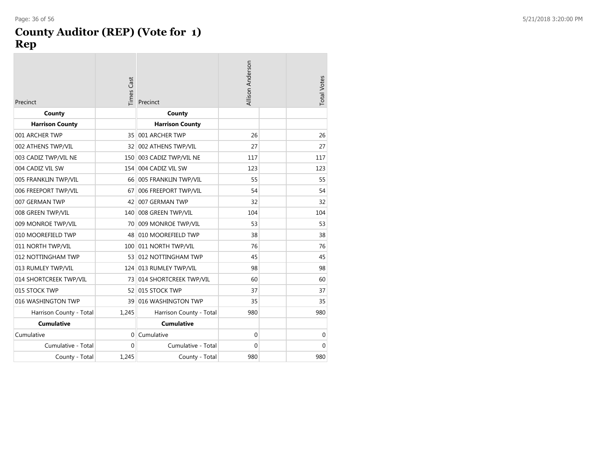#### **County Auditor (REP) (Vote for 1 ) Rep**

| Precinct                | <b>Times Cast</b> | Precinct                  | Allison Anderson | <b>Total Votes</b> |
|-------------------------|-------------------|---------------------------|------------------|--------------------|
| County                  |                   | County                    |                  |                    |
| <b>Harrison County</b>  |                   | <b>Harrison County</b>    |                  |                    |
| 001 ARCHER TWP          | 35                | 001 ARCHER TWP            | 26               | 26                 |
| 002 ATHENS TWP/VIL      | 32                | 002 ATHENS TWP/VIL        | 27               | 27                 |
| 003 CADIZ TWP/VIL NE    | 150               | 003 CADIZ TWP/VIL NE      | 117              | 117                |
| 004 CADIZ VIL SW        | 154               | 004 CADIZ VIL SW          | 123              | 123                |
| 005 FRANKLIN TWP/VIL    |                   | 66 005 FRANKLIN TWP/VIL   | 55               | 55                 |
| 006 FREEPORT TWP/VIL    | 67                | 006 FREEPORT TWP/VIL      | 54               | 54                 |
| 007 GERMAN TWP          | 42                | 007 GERMAN TWP            | 32               | 32                 |
| 008 GREEN TWP/VIL       |                   | 140 008 GREEN TWP/VIL     | 104              | 104                |
| 009 MONROE TWP/VIL      | 70                | 009 MONROE TWP/VIL        | 53               | 53                 |
| 010 MOOREFIELD TWP      | 48                | 010 MOOREFIELD TWP        | 38               | 38                 |
| 011 NORTH TWP/VIL       |                   | 100 011 NORTH TWP/VIL     | 76               | 76                 |
| 012 NOTTINGHAM TWP      |                   | 53 012 NOTTINGHAM TWP     | 45               | 45                 |
| 013 RUMLEY TWP/VIL      |                   | 124 013 RUMLEY TWP/VIL    | 98               | 98                 |
| 014 SHORTCREEK TWP/VIL  |                   | 73 014 SHORTCREEK TWP/VIL | 60               | 60                 |
| 015 STOCK TWP           |                   | 52 015 STOCK TWP          | 37               | 37                 |
| 016 WASHINGTON TWP      | 39                | 016 WASHINGTON TWP        | 35               | 35                 |
| Harrison County - Total | 1,245             | Harrison County - Total   | 980              | 980                |
| <b>Cumulative</b>       |                   | <b>Cumulative</b>         |                  |                    |
| Cumulative              | $\Omega$          | Cumulative                | $\mathbf{0}$     | 0                  |
| Cumulative - Total      | $\Omega$          | Cumulative - Total        | 0                | $\mathbf 0$        |
| County - Total          | 1.245             | County - Total            | 980              | 980                |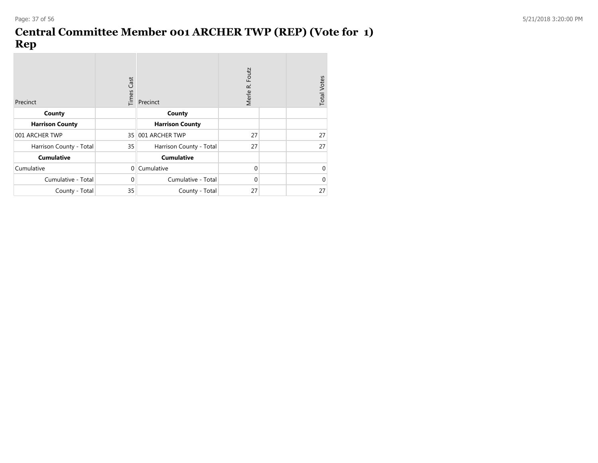## **Central Committee Member 001 ARCHER TWP (REP) (Vote for 1) Rep**

| Precinct                | Times Cast   | Precinct                | Foutz<br>Merle R. | <b>Total Votes</b> |
|-------------------------|--------------|-------------------------|-------------------|--------------------|
| County                  |              | County                  |                   |                    |
| <b>Harrison County</b>  |              | <b>Harrison County</b>  |                   |                    |
| 001 ARCHER TWP          |              | 35 001 ARCHER TWP       | 27                | 27                 |
| Harrison County - Total | 35           | Harrison County - Total | 27                | 27                 |
| <b>Cumulative</b>       |              | <b>Cumulative</b>       |                   |                    |
| Cumulative              | $\Omega$     | Cumulative              | $\Omega$          | 0                  |
| Cumulative - Total      | $\mathbf{0}$ | Cumulative - Total      | $\Omega$          | 0                  |
| County - Total          | 35           | County - Total          | 27                | 27                 |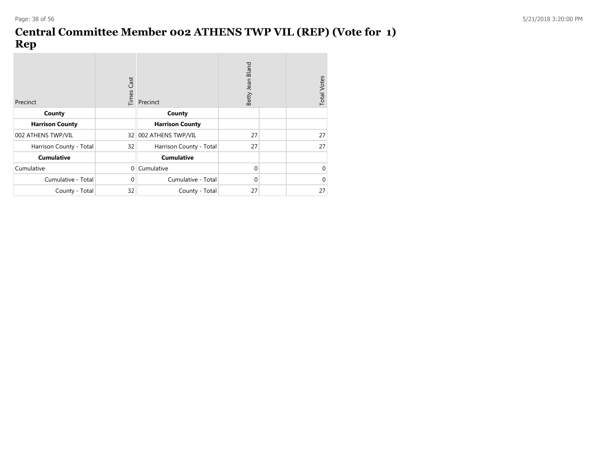## **Central Committee Member 002 ATHENS TWP VIL (REP) (Vote for 1) Rep**

| Precinct                | Times Cast   | Precinct                | Bland<br>Betty Jean | <b>Total Votes</b> |
|-------------------------|--------------|-------------------------|---------------------|--------------------|
| County                  |              | County                  |                     |                    |
| <b>Harrison County</b>  |              | <b>Harrison County</b>  |                     |                    |
| 002 ATHENS TWP/VIL      |              | 32 002 ATHENS TWP/VIL   | 27                  | 27                 |
| Harrison County - Total | 32           | Harrison County - Total | 27                  | 27                 |
| <b>Cumulative</b>       |              | <b>Cumulative</b>       |                     |                    |
| Cumulative              | $\Omega$     | Cumulative              | $\Omega$            | 0                  |
| Cumulative - Total      | $\mathbf{0}$ | Cumulative - Total      | $\Omega$            | $\Omega$           |
| County - Total          | 32           | County - Total          | 27                  | 27                 |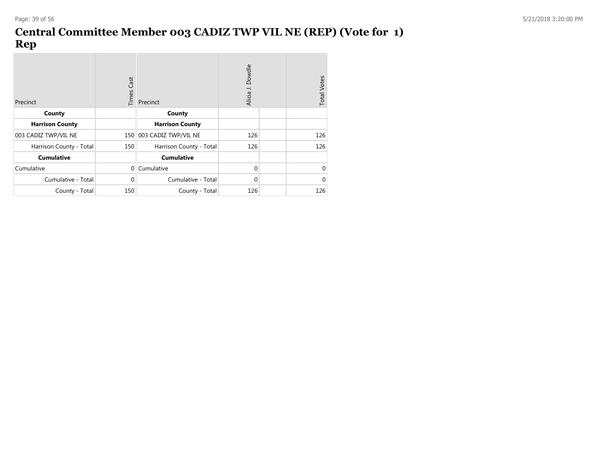## **Central Committee Member 003 CADIZ TWP VIL NE (REP) (Vote for 1) Rep**

| Precinct                | <b>Times Cast</b> | Precinct                 | Dowdle<br>Alicia J. | <b>Total Votes</b> |
|-------------------------|-------------------|--------------------------|---------------------|--------------------|
| County                  |                   | County                   |                     |                    |
| <b>Harrison County</b>  |                   | <b>Harrison County</b>   |                     |                    |
| 003 CADIZ TWP/VIL NE    |                   | 150 003 CADIZ TWP/VIL NE | 126                 | 126                |
| Harrison County - Total | 150               | Harrison County - Total  | 126                 | 126                |
| <b>Cumulative</b>       |                   | <b>Cumulative</b>        |                     |                    |
| Cumulative              | $\mathbf{0}$      | Cumulative               | $\Omega$            | 0                  |
| Cumulative - Total      | $\mathbf{0}$      | Cumulative - Total       | $\Omega$            | 0                  |
| County - Total          | 150               | County - Total           | 126                 | 126                |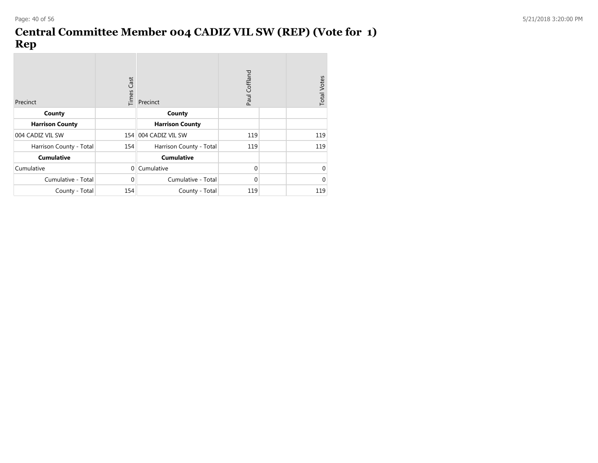## **Central Committee Member 004 CADIZ VIL SW (REP) (Vote for 1) Rep**

| Precinct                | <b>Times Cast</b> | Precinct                | Paul Coffland | <b>Total Votes</b> |
|-------------------------|-------------------|-------------------------|---------------|--------------------|
| County                  |                   | County                  |               |                    |
| <b>Harrison County</b>  |                   | <b>Harrison County</b>  |               |                    |
| 004 CADIZ VIL SW        |                   | 154 004 CADIZ VIL SW    | 119           | 119                |
| Harrison County - Total | 154               | Harrison County - Total | 119           | 119                |
| <b>Cumulative</b>       |                   | <b>Cumulative</b>       |               |                    |
| Cumulative              | $\Omega$          | Cumulative              | $\Omega$      | 0                  |
| Cumulative - Total      | 0                 | Cumulative - Total      | 0             | $\Omega$           |
| County - Total          | 154               | County - Total          | 119           | 119                |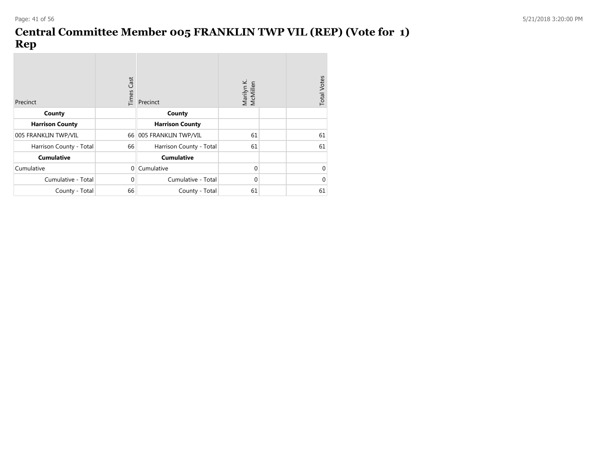## **Central Committee Member 005 FRANKLIN TWP VIL (REP) (Vote for 1) Rep**

| Precinct                | <b>Times Cast</b> | Precinct                | Marilyn K.<br>McMillen | <b>Total Votes</b> |
|-------------------------|-------------------|-------------------------|------------------------|--------------------|
| County                  |                   | County                  |                        |                    |
| <b>Harrison County</b>  |                   | <b>Harrison County</b>  |                        |                    |
| 005 FRANKLIN TWP/VIL    |                   | 66 005 FRANKLIN TWP/VIL | 61                     | 61                 |
| Harrison County - Total | 66                | Harrison County - Total | 61                     | 61                 |
| <b>Cumulative</b>       |                   | <b>Cumulative</b>       |                        |                    |
| Cumulative              | $\mathbf{0}$      | Cumulative              | $\Omega$               | $\mathbf 0$        |
| Cumulative - Total      | $\mathbf{0}$      | Cumulative - Total      | 0                      | $\mathbf 0$        |
| County - Total          | 66                | County - Total          | 61                     | 61                 |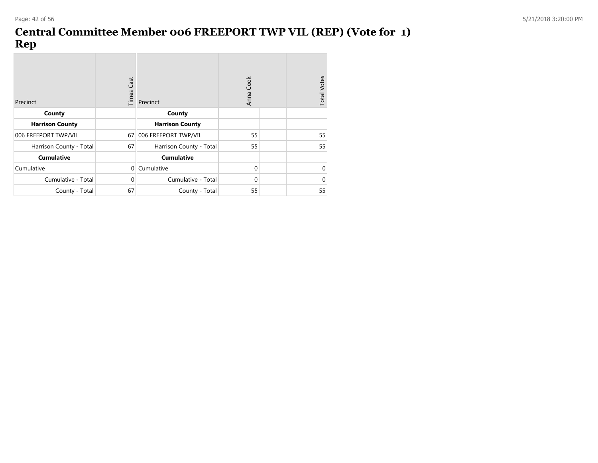## **Central Committee Member 006 FREEPORT TWP VIL (REP) (Vote for 1) Rep**

| Precinct                | <b>Times Cast</b> | Precinct                | Anna Cook | <b>Total Votes</b> |
|-------------------------|-------------------|-------------------------|-----------|--------------------|
| County                  |                   | County                  |           |                    |
| <b>Harrison County</b>  |                   | <b>Harrison County</b>  |           |                    |
| 006 FREEPORT TWP/VIL    | 67                | 006 FREEPORT TWP/VIL    | 55        | 55                 |
| Harrison County - Total | 67                | Harrison County - Total | 55        | 55                 |
| <b>Cumulative</b>       |                   | <b>Cumulative</b>       |           |                    |
| Cumulative              | $\mathbf{0}$      | Cumulative              | $\Omega$  | 0                  |
| Cumulative - Total      | $\Omega$          | Cumulative - Total      | $\Omega$  | 0                  |
| County - Total          | 67                | County - Total          | 55        | 55                 |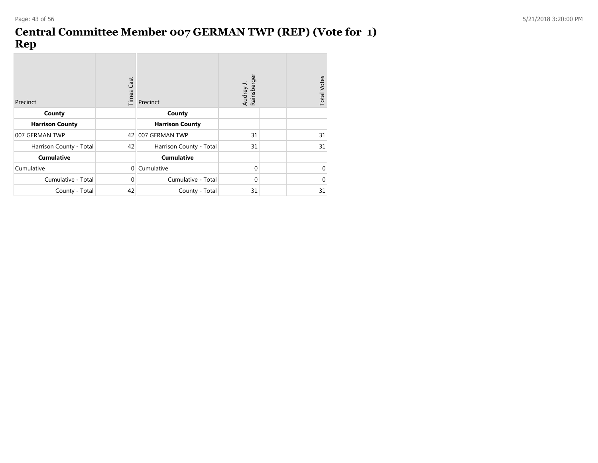## **Central Committee Member 007 GERMAN TWP (REP) (Vote for 1) Rep**

| Precinct                | <b>Times Cast</b> | Precinct                | Rainsberger<br>Audrey. | <b>Total Votes</b> |
|-------------------------|-------------------|-------------------------|------------------------|--------------------|
| County                  |                   | County                  |                        |                    |
| <b>Harrison County</b>  |                   | <b>Harrison County</b>  |                        |                    |
| 007 GERMAN TWP          | 42                | 007 GERMAN TWP          | 31                     | 31                 |
| Harrison County - Total | 42                | Harrison County - Total | 31                     | 31                 |
| <b>Cumulative</b>       |                   | <b>Cumulative</b>       |                        |                    |
| Cumulative              | $\Omega$          | Cumulative              | $\Omega$               | $\mathbf 0$        |
| Cumulative - Total      | $\mathbf{0}$      | Cumulative - Total      | $\Omega$               | $\mathbf 0$        |
| County - Total          | 42                | County - Total          | 31                     | 31                 |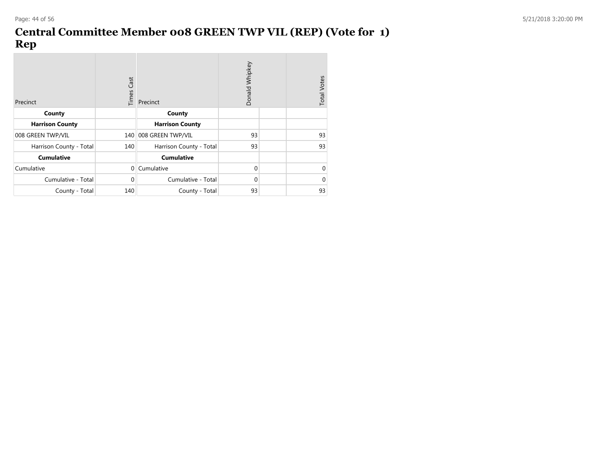## **Central Committee Member 008 GREEN TWP VIL (REP) (Vote for 1) Rep**

| Precinct                | <b>Times Cast</b> | Donald Whipkey<br>Precinct |          |  |    |
|-------------------------|-------------------|----------------------------|----------|--|----|
| County                  |                   | County                     |          |  |    |
| <b>Harrison County</b>  |                   | <b>Harrison County</b>     |          |  |    |
| 008 GREEN TWP/VIL       |                   | 140 008 GREEN TWP/VIL      | 93       |  | 93 |
| Harrison County - Total | 140               | Harrison County - Total    | 93       |  | 93 |
| <b>Cumulative</b>       |                   | <b>Cumulative</b>          |          |  |    |
| Cumulative              | $\Omega$          | Cumulative                 | $\Omega$ |  | 0  |
| Cumulative - Total      | $\mathbf{0}$      | Cumulative - Total         | $\Omega$ |  | 0  |
| County - Total          | 140               | County - Total             | 93       |  | 93 |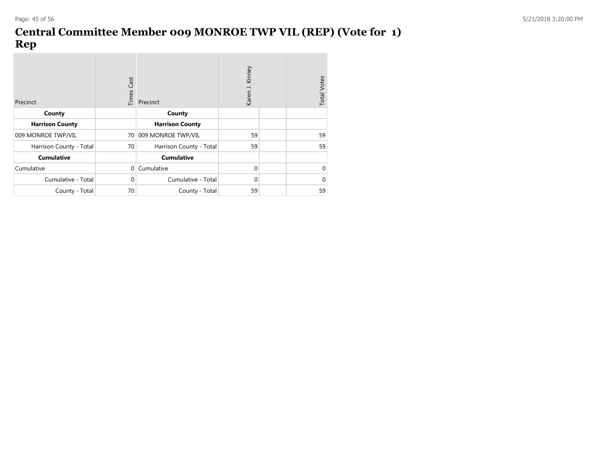## **Central Committee Member 009 MONROE TWP VIL (REP) (Vote for 1) Rep**

| Precinct                | <b>Times Cast</b> | Precinct                | Kinney<br>Karen J. |  | <b>Total Votes</b> |
|-------------------------|-------------------|-------------------------|--------------------|--|--------------------|
| County                  |                   | County                  |                    |  |                    |
| <b>Harrison County</b>  |                   | <b>Harrison County</b>  |                    |  |                    |
| 009 MONROE TWP/VIL      | 70                | 009 MONROE TWP/VIL      | 59                 |  | 59                 |
| Harrison County - Total | 70                | Harrison County - Total | 59                 |  | 59                 |
| <b>Cumulative</b>       |                   | <b>Cumulative</b>       |                    |  |                    |
| Cumulative              | $\Omega$          | Cumulative              | $\Omega$           |  | 0                  |
| Cumulative - Total      | 0                 | Cumulative - Total      | $\Omega$           |  | $\Omega$           |
| County - Total          | 70                | County - Total          | 59                 |  | 59                 |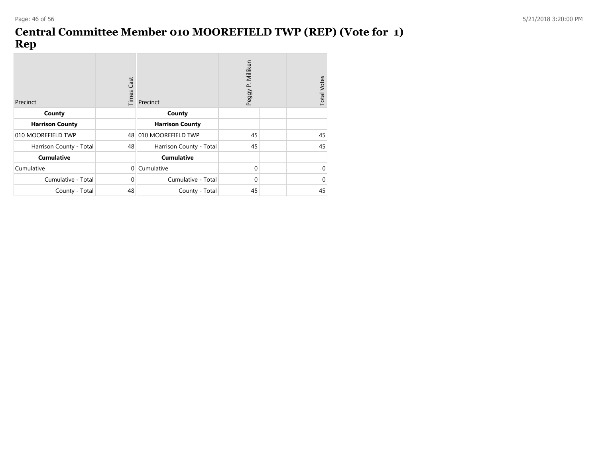## **Central Committee Member 010 MOOREFIELD TWP (REP) (Vote for 1) Rep**

| Precinct                | <b>Times Cast</b> | Precinct                | P. Milliken<br>Peggy | <b>Total Votes</b> |
|-------------------------|-------------------|-------------------------|----------------------|--------------------|
| County                  |                   | County                  |                      |                    |
| <b>Harrison County</b>  |                   | <b>Harrison County</b>  |                      |                    |
| 010 MOOREFIELD TWP      | 48                | 010 MOOREFIELD TWP      | 45                   | 45                 |
| Harrison County - Total | 48                | Harrison County - Total | 45                   | 45                 |
| <b>Cumulative</b>       |                   | <b>Cumulative</b>       |                      |                    |
| Cumulative              | $\Omega$          | Cumulative              | $\Omega$             | 0                  |
| Cumulative - Total      | $\mathbf 0$       | Cumulative - Total      | $\Omega$             | $\mathbf 0$        |
| County - Total          | 48                | County - Total          | 45                   | 45                 |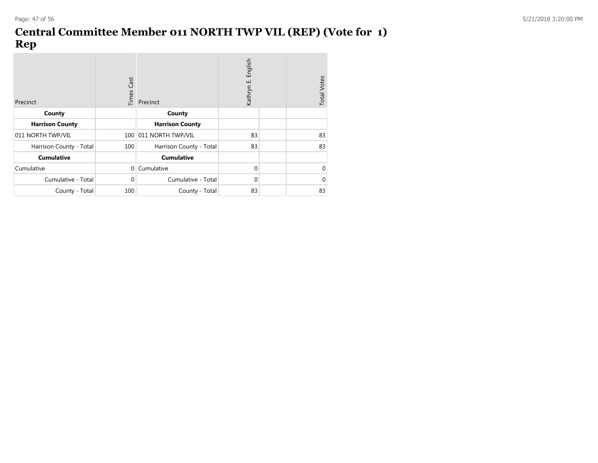## **Central Committee Member 011 NORTH TWP VIL (REP) (Vote for 1) Rep**

| Precinct                | <b>Times Cast</b> | Precinct                | English<br>ШÌ<br>Kathryn | <b>Total Votes</b> |
|-------------------------|-------------------|-------------------------|--------------------------|--------------------|
| County                  |                   | County                  |                          |                    |
| <b>Harrison County</b>  |                   | <b>Harrison County</b>  |                          |                    |
| 011 NORTH TWP/VIL       |                   | 100 011 NORTH TWP/VIL   | 83                       | 83                 |
| Harrison County - Total | 100               | Harrison County - Total | 83                       | 83                 |
| <b>Cumulative</b>       |                   | <b>Cumulative</b>       |                          |                    |
| Cumulative              | $\mathbf 0$       | Cumulative              | $\Omega$                 | 0                  |
| Cumulative - Total      | $\Omega$          | Cumulative - Total      | $\Omega$                 | 0                  |
| County - Total          | 100               | County - Total          | 83                       | 83                 |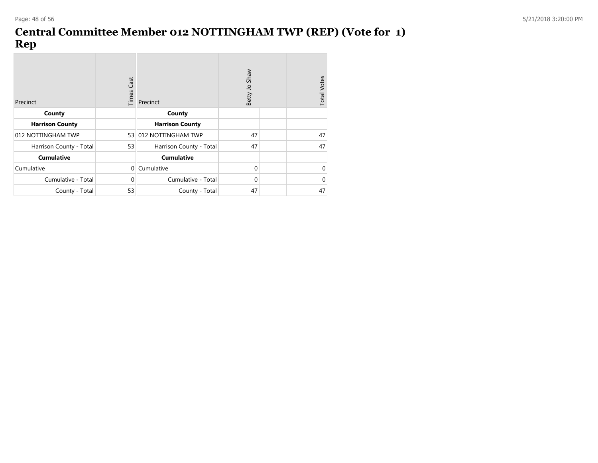## **Central Committee Member 012 NOTTINGHAM TWP (REP) (Vote for 1) Rep**

| Precinct                | <b>Times Cast</b> | Precinct                | Shaw<br>Betty Jo | <b>Total Votes</b> |
|-------------------------|-------------------|-------------------------|------------------|--------------------|
| County                  |                   | County                  |                  |                    |
| <b>Harrison County</b>  |                   | <b>Harrison County</b>  |                  |                    |
| 012 NOTTINGHAM TWP      |                   | 53 012 NOTTINGHAM TWP   | 47               | 47                 |
| Harrison County - Total | 53                | Harrison County - Total | 47               | 47                 |
| <b>Cumulative</b>       |                   | <b>Cumulative</b>       |                  |                    |
| Cumulative              | $\overline{0}$    | Cumulative              | $\Omega$         | 0                  |
| Cumulative - Total      | $\mathbf{0}$      | Cumulative - Total      | $\Omega$         | $\mathbf 0$        |
| County - Total          | 53                | County - Total          | 47               | 47                 |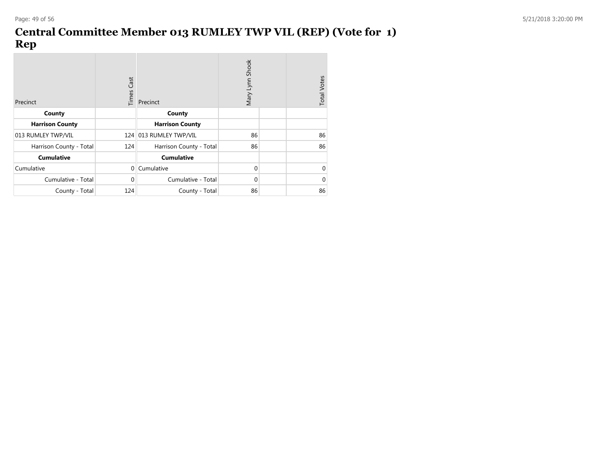## **Central Committee Member 013 RUMLEY TWP VIL (REP) (Vote for 1) Rep**

| Precinct                | <b>Times Cast</b> | Precinct                | Mary Lynn Shook |  | <b>Total Votes</b> |
|-------------------------|-------------------|-------------------------|-----------------|--|--------------------|
| County                  |                   | County                  |                 |  |                    |
| <b>Harrison County</b>  |                   | <b>Harrison County</b>  |                 |  |                    |
| 013 RUMLEY TWP/VIL      |                   | 124 013 RUMLEY TWP/VIL  | 86              |  | 86                 |
| Harrison County - Total | 124               | Harrison County - Total | 86              |  | 86                 |
| <b>Cumulative</b>       |                   | <b>Cumulative</b>       |                 |  |                    |
| Cumulative              | $\Omega$          | Cumulative              | $\Omega$        |  | $\Omega$           |
| Cumulative - Total      | $\Omega$          | Cumulative - Total      | $\Omega$        |  | $\mathbf 0$        |
| County - Total          | 124               | County - Total          | 86              |  | 86                 |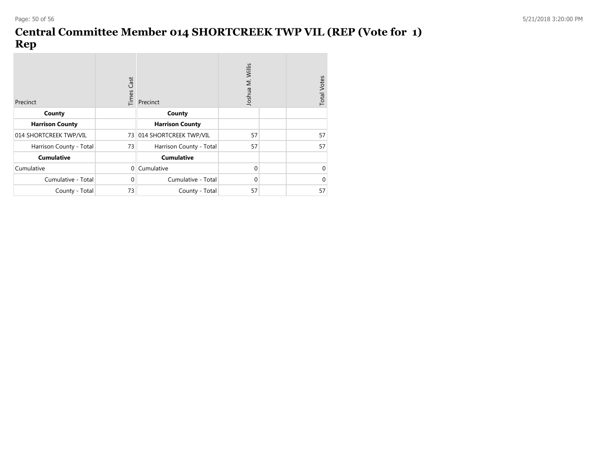## **Central Committee Member 014 SHORTCREEK TWP VIL (REP (Vote for 1) Rep**

| Precinct                | <b>Times Cast</b> | Precinct                  | Joshua M. Willis |  | <b>Total Votes</b> |
|-------------------------|-------------------|---------------------------|------------------|--|--------------------|
| County                  |                   | County                    |                  |  |                    |
| <b>Harrison County</b>  |                   | <b>Harrison County</b>    |                  |  |                    |
| 014 SHORTCREEK TWP/VIL  |                   | 73 014 SHORTCREEK TWP/VIL | 57               |  | 57                 |
| Harrison County - Total | 73                | Harrison County - Total   | 57               |  | 57                 |
| <b>Cumulative</b>       |                   | <b>Cumulative</b>         |                  |  |                    |
| Cumulative              | $\Omega$          | Cumulative                | $\Omega$         |  | 0                  |
| Cumulative - Total      | $\mathbf 0$       | Cumulative - Total        | $\Omega$         |  | $\Omega$           |
| County - Total          | 73                | County - Total            | 57               |  | 57                 |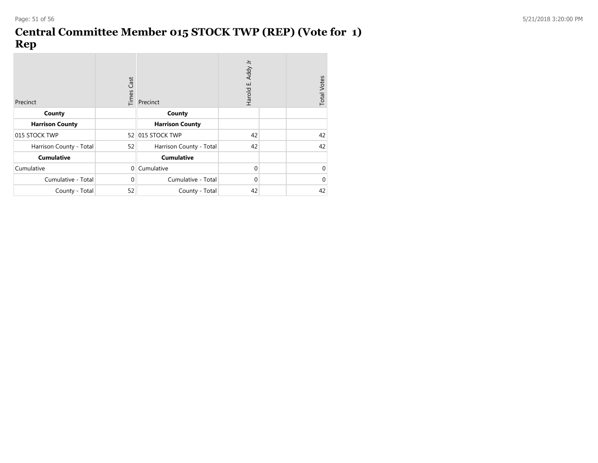## **Central Committee Member 015 STOCK TWP (REP) (Vote for 1) Rep**

| Precinct                | <b>Times Cast</b> | Precinct                | Addy Jr<br>Harold E. | <b>Total Votes</b> |    |
|-------------------------|-------------------|-------------------------|----------------------|--------------------|----|
| County                  |                   | County                  |                      |                    |    |
| <b>Harrison County</b>  |                   | <b>Harrison County</b>  |                      |                    |    |
| 015 STOCK TWP           |                   | 52 015 STOCK TWP        | 42                   |                    | 42 |
| Harrison County - Total | 52                | Harrison County - Total | 42                   |                    | 42 |
| <b>Cumulative</b>       |                   | <b>Cumulative</b>       |                      |                    |    |
| Cumulative              | $\mathbf{0}$      | Cumulative              | $\Omega$             |                    | 0  |
| Cumulative - Total      | $\mathbf{0}$      | Cumulative - Total      | $\Omega$             |                    | 0  |
| County - Total          | 52                | County - Total          | 42                   |                    | 42 |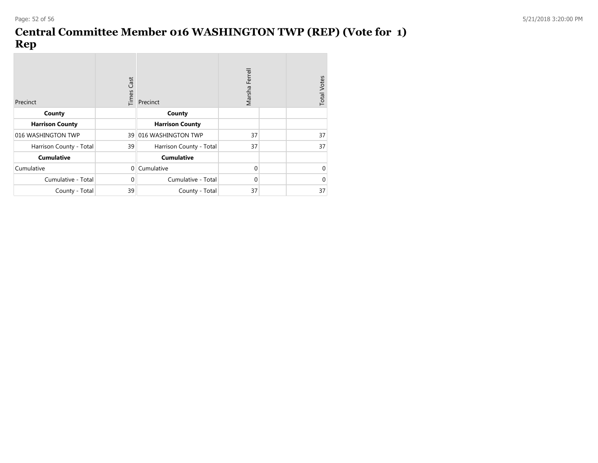## **Central Committee Member 016 WASHINGTON TWP (REP) (Vote for 1) Rep**

| Precinct                | <b>Times Cast</b> | Precinct                | Marsha Ferrell |  | <b>Total Votes</b> |
|-------------------------|-------------------|-------------------------|----------------|--|--------------------|
| County                  |                   | County                  |                |  |                    |
| <b>Harrison County</b>  |                   | <b>Harrison County</b>  |                |  |                    |
| 016 WASHINGTON TWP      | 39                | 016 WASHINGTON TWP      | 37             |  | 37                 |
| Harrison County - Total | 39                | Harrison County - Total | 37             |  | 37                 |
| <b>Cumulative</b>       |                   | <b>Cumulative</b>       |                |  |                    |
| Cumulative              | $\Omega$          | Cumulative              | $\Omega$       |  | 0                  |
| Cumulative - Total      | $\mathbf 0$       | Cumulative - Total      | $\Omega$       |  | 0                  |
| County - Total          | 39                | County - Total          | 37             |  | 37                 |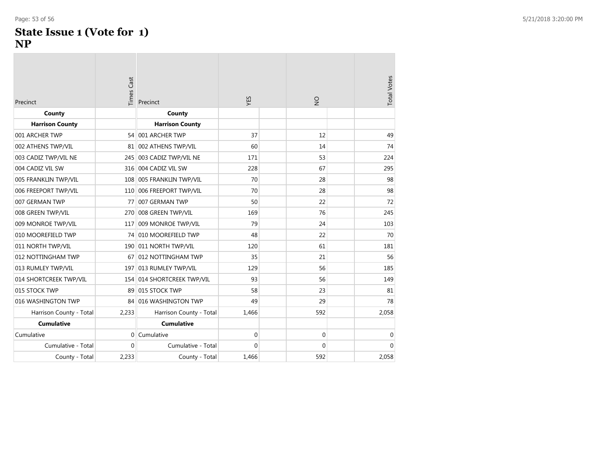# **State Issue 1 (Vote for 1)**

#### **NP**

| Precinct                | Times Cast   | Precinct                   | ΥES         | $\frac{1}{2}$ | <b>Total Votes</b> |
|-------------------------|--------------|----------------------------|-------------|---------------|--------------------|
| County                  |              | County                     |             |               |                    |
| <b>Harrison County</b>  |              | <b>Harrison County</b>     |             |               |                    |
| 001 ARCHER TWP          |              | 54 001 ARCHER TWP          | 37          | 12            | 49                 |
| 002 ATHENS TWP/VIL      |              | 81 002 ATHENS TWP/VIL      | 60          | 14            | 74                 |
| 003 CADIZ TWP/VIL NE    |              | 245 003 CADIZ TWP/VIL NE   | 171         | 53            | 224                |
| 004 CADIZ VIL SW        | 316          | 004 CADIZ VIL SW           | 228         | 67            | 295                |
| 005 FRANKLIN TWP/VIL    |              | 108 005 FRANKLIN TWP/VIL   | 70          | 28            | 98                 |
| 006 FREEPORT TWP/VIL    | 110          | 006 FREEPORT TWP/VIL       | 70          | 28            | 98                 |
| 007 GERMAN TWP          | 77           | 007 GERMAN TWP             | 50          | 22            | 72                 |
| 008 GREEN TWP/VIL       | 270          | 008 GREEN TWP/VIL          | 169         | 76            | 245                |
| 009 MONROE TWP/VIL      | 117          | 009 MONROE TWP/VIL         | 79          | 24            | 103                |
| 010 MOOREFIELD TWP      | 74           | 010 MOOREFIELD TWP         | 48          | 22            | 70                 |
| 011 NORTH TWP/VIL       |              | 190 011 NORTH TWP/VIL      | 120         | 61            | 181                |
| 012 NOTTINGHAM TWP      | 67           | 012 NOTTINGHAM TWP         | 35          | 21            | 56                 |
| 013 RUMLEY TWP/VIL      |              | 197 013 RUMLEY TWP/VIL     | 129         | 56            | 185                |
| 014 SHORTCREEK TWP/VIL  |              | 154 014 SHORTCREEK TWP/VIL | 93          | 56            | 149                |
| 015 STOCK TWP           | 89           | 015 STOCK TWP              | 58          | 23            | 81                 |
| 016 WASHINGTON TWP      | 84           | 016 WASHINGTON TWP         | 49          | 29            | 78                 |
| Harrison County - Total | 2,233        | Harrison County - Total    | 1,466       | 592           | 2,058              |
| <b>Cumulative</b>       |              | <b>Cumulative</b>          |             |               |                    |
| Cumulative              | $\mathbf{0}$ | Cumulative                 | $\mathbf 0$ | 0             | $\mathbf 0$        |
| Cumulative - Total      | $\Omega$     | Cumulative - Total         | 0           | $\mathbf 0$   | $\Omega$           |
| County - Total          | 2,233        | County - Total             | 1.466       | 592           | 2,058              |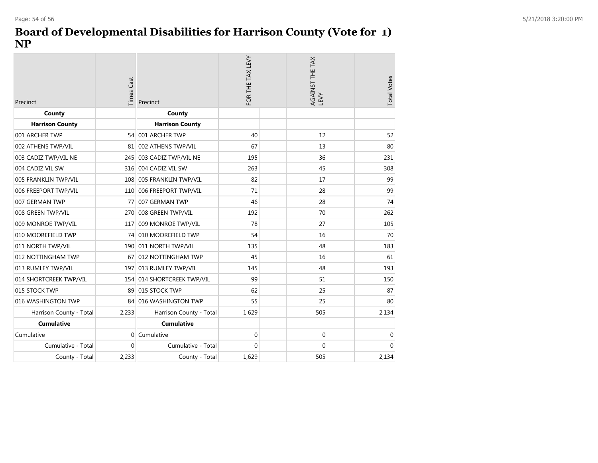#### **Board of Developmental Disabilities for Harrison County (Vote for 1) NP**

| <b>Times Cast</b><br>Precinct |              | Precinct                 | FOR THE TAX LEVY | AGAINST THE TAX<br>LEVY | <b>Total Votes</b> |
|-------------------------------|--------------|--------------------------|------------------|-------------------------|--------------------|
| County                        |              | County                   |                  |                         |                    |
| <b>Harrison County</b>        |              | <b>Harrison County</b>   |                  |                         |                    |
| 001 ARCHER TWP                |              | 54 001 ARCHER TWP        | 40               | 12                      | 52                 |
| 002 ATHENS TWP/VIL            | 81           | 002 ATHENS TWP/VIL       | 67               | 13                      | 80                 |
| 003 CADIZ TWP/VIL NE          |              | 245 003 CADIZ TWP/VIL NE | 195              | 36                      | 231                |
| 004 CADIZ VIL SW              | 316          | 004 CADIZ VIL SW         | 263              | 45                      | 308                |
| 005 FRANKLIN TWP/VIL          |              | 108 005 FRANKLIN TWP/VIL | 82               | 17                      | 99                 |
| 006 FREEPORT TWP/VIL          | 110          | 006 FREEPORT TWP/VIL     | 71               | 28                      | 99                 |
| 007 GERMAN TWP                | 77           | 007 GERMAN TWP           | 46               | 28                      | 74                 |
| 008 GREEN TWP/VIL             | 270          | 008 GREEN TWP/VIL        | 192              | 70                      | 262                |
| 009 MONROE TWP/VIL            | 117          | 009 MONROE TWP/VIL       | 78               | 27                      | 105                |
| 010 MOOREFIELD TWP            |              | 74 010 MOOREFIELD TWP    | 54               | 16                      | 70                 |
| 011 NORTH TWP/VIL             |              | 190 011 NORTH TWP/VIL    | 135              | 48                      | 183                |
| 012 NOTTINGHAM TWP            |              | 67 012 NOTTINGHAM TWP    | 45               | 16                      | 61                 |
| 013 RUMLEY TWP/VIL            |              | 197 013 RUMLEY TWP/VIL   | 145              | 48                      | 193                |
| 014 SHORTCREEK TWP/VIL        | 154          | 014 SHORTCREEK TWP/VIL   | 99               | 51                      | 150                |
| 015 STOCK TWP                 |              | 89 015 STOCK TWP         | 62               | 25                      | 87                 |
| 016 WASHINGTON TWP            | 84           | 016 WASHINGTON TWP       | 55               | 25                      | 80                 |
| Harrison County - Total       | 2,233        | Harrison County - Total  | 1,629            | 505                     | 2,134              |
| <b>Cumulative</b>             |              | <b>Cumulative</b>        |                  |                         |                    |
| Cumulative                    | $\Omega$     | Cumulative               | $\mathbf 0$      | $\mathbf 0$             | $\mathbf 0$        |
| Cumulative - Total            | $\mathbf{0}$ | Cumulative - Total       | $\mathbf{0}$     | $\mathbf 0$             | $\Omega$           |
| County - Total                | 2,233        | County - Total           | 1.629            | 505                     | 2,134              |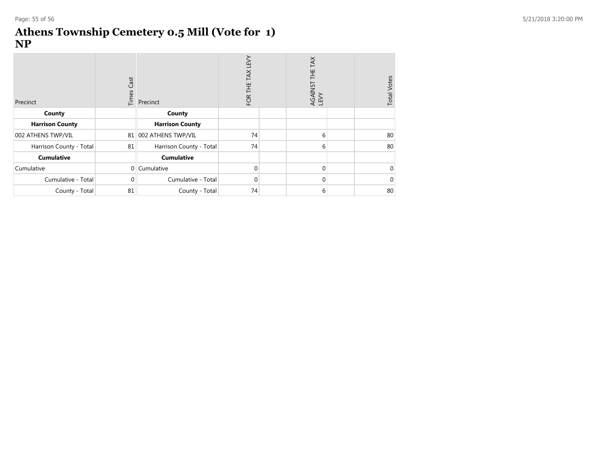#### **Athens Township Cemetery 0.5 Mill (Vote for 1 ) NP**

| Precinct                | Cast<br>Times  | Precinct                | TAX LEVY<br>Ë<br>FOR <sup>-</sup> | TAX<br>芒<br>AGAINST<br>LEVY | <b>Total Votes</b> |
|-------------------------|----------------|-------------------------|-----------------------------------|-----------------------------|--------------------|
| County                  |                | County                  |                                   |                             |                    |
| <b>Harrison County</b>  |                | <b>Harrison County</b>  |                                   |                             |                    |
| 002 ATHENS TWP/VIL      |                | 81 002 ATHENS TWP/VIL   | 74                                | 6                           | 80                 |
| Harrison County - Total | 81             | Harrison County - Total | 74                                | 6                           | 80                 |
| <b>Cumulative</b>       |                | <b>Cumulative</b>       |                                   |                             |                    |
| Cumulative              | $\overline{0}$ | Cumulative              | $\Omega$                          | $\Omega$                    | 0                  |
| Cumulative - Total      | $\Omega$       | Cumulative - Total      | $\Omega$                          | $\Omega$                    | $\Omega$           |
| County - Total          | 81             | County - Total          | 74                                | 6                           | 80                 |